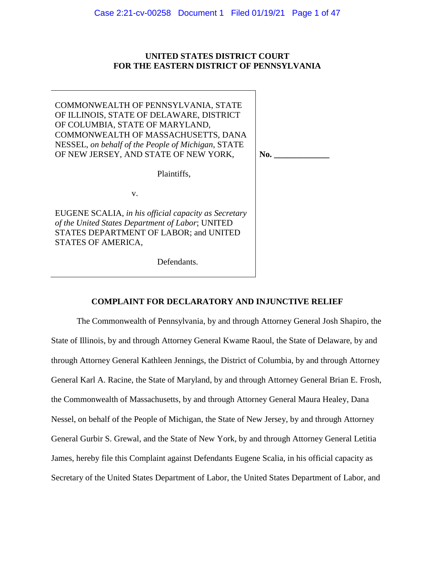# **UNITED STATES DISTRICT COURT FOR THE EASTERN DISTRICT OF PENNSYLVANIA**

COMMONWEALTH OF PENNSYLVANIA, STATE OF ILLINOIS, STATE OF DELAWARE, DISTRICT OF COLUMBIA, STATE OF MARYLAND, COMMONWEALTH OF MASSACHUSETTS, DANA NESSEL, *on behalf of the People of Michigan*, STATE OF NEW JERSEY, AND STATE OF NEW YORK,

Plaintiffs,

No.

v.

EUGENE SCALIA, *in his official capacity as Secretary of the United States Department of Labor*; UNITED STATES DEPARTMENT OF LABOR; and UNITED STATES OF AMERICA,

Defendants.

# **COMPLAINT FOR DECLARATORY AND INJUNCTIVE RELIEF**

The Commonwealth of Pennsylvania, by and through Attorney General Josh Shapiro, the State of Illinois, by and through Attorney General Kwame Raoul, the State of Delaware, by and through Attorney General Kathleen Jennings, the District of Columbia, by and through Attorney General Karl A. Racine, the State of Maryland, by and through Attorney General Brian E. Frosh, the Commonwealth of Massachusetts, by and through Attorney General Maura Healey, Dana Nessel, on behalf of the People of Michigan, the State of New Jersey, by and through Attorney General Gurbir S. Grewal, and the State of New York, by and through Attorney General Letitia James, hereby file this Complaint against Defendants Eugene Scalia, in his official capacity as Secretary of the United States Department of Labor, the United States Department of Labor, and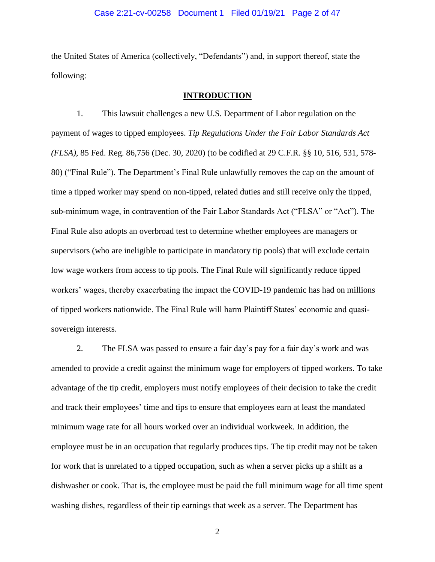## Case 2:21-cv-00258 Document 1 Filed 01/19/21 Page 2 of 47

the United States of America (collectively, "Defendants") and, in support thereof, state the following:

## **INTRODUCTION**

1. This lawsuit challenges a new U.S. Department of Labor regulation on the payment of wages to tipped employees. *Tip Regulations Under the Fair Labor Standards Act (FLSA)*, 85 Fed. Reg. 86,756 (Dec. 30, 2020) (to be codified at 29 C.F.R. §§ 10, 516, 531, 578- 80) ("Final Rule"). The Department's Final Rule unlawfully removes the cap on the amount of time a tipped worker may spend on non-tipped, related duties and still receive only the tipped, sub-minimum wage, in contravention of the Fair Labor Standards Act ("FLSA" or "Act"). The Final Rule also adopts an overbroad test to determine whether employees are managers or supervisors (who are ineligible to participate in mandatory tip pools) that will exclude certain low wage workers from access to tip pools. The Final Rule will significantly reduce tipped workers' wages, thereby exacerbating the impact the COVID-19 pandemic has had on millions of tipped workers nationwide. The Final Rule will harm Plaintiff States' economic and quasisovereign interests.

2. The FLSA was passed to ensure a fair day's pay for a fair day's work and was amended to provide a credit against the minimum wage for employers of tipped workers. To take advantage of the tip credit, employers must notify employees of their decision to take the credit and track their employees' time and tips to ensure that employees earn at least the mandated minimum wage rate for all hours worked over an individual workweek. In addition, the employee must be in an occupation that regularly produces tips. The tip credit may not be taken for work that is unrelated to a tipped occupation, such as when a server picks up a shift as a dishwasher or cook. That is, the employee must be paid the full minimum wage for all time spent washing dishes, regardless of their tip earnings that week as a server. The Department has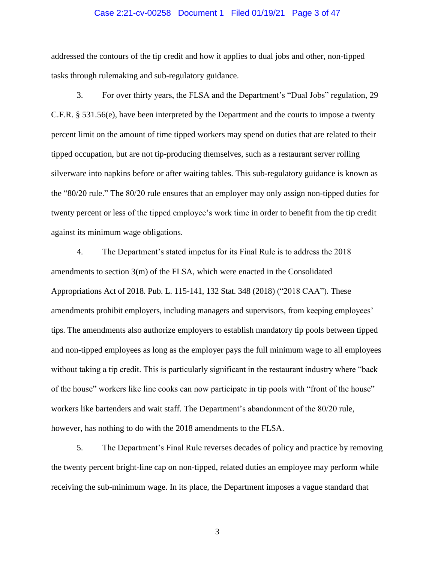### Case 2:21-cv-00258 Document 1 Filed 01/19/21 Page 3 of 47

addressed the contours of the tip credit and how it applies to dual jobs and other, non-tipped tasks through rulemaking and sub-regulatory guidance.

3. For over thirty years, the FLSA and the Department's "Dual Jobs" regulation, 29 C.F.R. § 531.56(e), have been interpreted by the Department and the courts to impose a twenty percent limit on the amount of time tipped workers may spend on duties that are related to their tipped occupation, but are not tip-producing themselves, such as a restaurant server rolling silverware into napkins before or after waiting tables. This sub-regulatory guidance is known as the "80/20 rule." The 80/20 rule ensures that an employer may only assign non-tipped duties for twenty percent or less of the tipped employee's work time in order to benefit from the tip credit against its minimum wage obligations.

4. The Department's stated impetus for its Final Rule is to address the 2018 amendments to section 3(m) of the FLSA, which were enacted in the Consolidated Appropriations Act of 2018. Pub. L. 115-141, 132 Stat. 348 (2018) ("2018 CAA"). These amendments prohibit employers, including managers and supervisors, from keeping employees' tips. The amendments also authorize employers to establish mandatory tip pools between tipped and non-tipped employees as long as the employer pays the full minimum wage to all employees without taking a tip credit. This is particularly significant in the restaurant industry where "back of the house" workers like line cooks can now participate in tip pools with "front of the house" workers like bartenders and wait staff. The Department's abandonment of the 80/20 rule, however, has nothing to do with the 2018 amendments to the FLSA.

5. The Department's Final Rule reverses decades of policy and practice by removing the twenty percent bright-line cap on non-tipped, related duties an employee may perform while receiving the sub-minimum wage. In its place, the Department imposes a vague standard that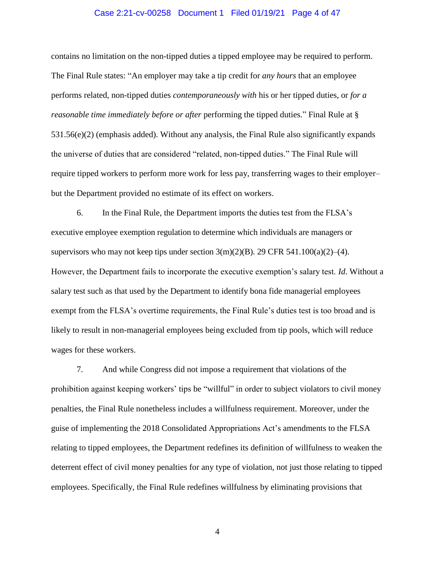## Case 2:21-cv-00258 Document 1 Filed 01/19/21 Page 4 of 47

contains no limitation on the non-tipped duties a tipped employee may be required to perform. The Final Rule states: "An employer may take a tip credit for *any hours* that an employee performs related, non-tipped duties *contemporaneously with* his or her tipped duties, or *for a reasonable time immediately before or after* performing the tipped duties." Final Rule at § 531.56(e)(2) (emphasis added). Without any analysis, the Final Rule also significantly expands the universe of duties that are considered "related, non-tipped duties." The Final Rule will require tipped workers to perform more work for less pay, transferring wages to their employer– but the Department provided no estimate of its effect on workers.

6. In the Final Rule, the Department imports the duties test from the FLSA's executive employee exemption regulation to determine which individuals are managers or supervisors who may not keep tips under section  $3(m)(2)(B)$ . 29 CFR 541.100(a)(2)–(4). However, the Department fails to incorporate the executive exemption's salary test. *Id*. Without a salary test such as that used by the Department to identify bona fide managerial employees exempt from the FLSA's overtime requirements, the Final Rule's duties test is too broad and is likely to result in non-managerial employees being excluded from tip pools, which will reduce wages for these workers.

7. And while Congress did not impose a requirement that violations of the prohibition against keeping workers' tips be "willful" in order to subject violators to civil money penalties, the Final Rule nonetheless includes a willfulness requirement. Moreover, under the guise of implementing the 2018 Consolidated Appropriations Act's amendments to the FLSA relating to tipped employees, the Department redefines its definition of willfulness to weaken the deterrent effect of civil money penalties for any type of violation, not just those relating to tipped employees. Specifically, the Final Rule redefines willfulness by eliminating provisions that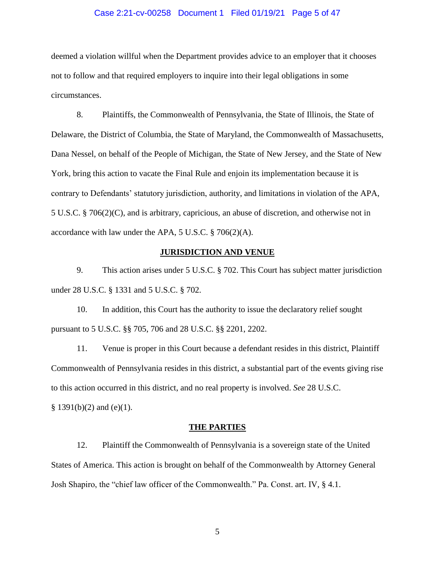#### Case 2:21-cv-00258 Document 1 Filed 01/19/21 Page 5 of 47

deemed a violation willful when the Department provides advice to an employer that it chooses not to follow and that required employers to inquire into their legal obligations in some circumstances.

8. Plaintiffs, the Commonwealth of Pennsylvania, the State of Illinois, the State of Delaware, the District of Columbia, the State of Maryland, the Commonwealth of Massachusetts, Dana Nessel, on behalf of the People of Michigan, the State of New Jersey, and the State of New York, bring this action to vacate the Final Rule and enjoin its implementation because it is contrary to Defendants' statutory jurisdiction, authority, and limitations in violation of the APA, 5 U.S.C. § 706(2)(C), and is arbitrary, capricious, an abuse of discretion, and otherwise not in accordance with law under the APA, 5 U.S.C. § 706(2)(A).

## **JURISDICTION AND VENUE**

9. This action arises under 5 U.S.C. § 702. This Court has subject matter jurisdiction under 28 U.S.C. § 1331 and 5 U.S.C. § 702.

10. In addition, this Court has the authority to issue the declaratory relief sought pursuant to 5 U.S.C. §§ 705, 706 and 28 U.S.C. §§ 2201, 2202.

11. Venue is proper in this Court because a defendant resides in this district, Plaintiff Commonwealth of Pennsylvania resides in this district, a substantial part of the events giving rise to this action occurred in this district, and no real property is involved. *See* 28 U.S.C.  $§ 1391(b)(2)$  and (e)(1).

## **THE PARTIES**

12. Plaintiff the Commonwealth of Pennsylvania is a sovereign state of the United States of America. This action is brought on behalf of the Commonwealth by Attorney General Josh Shapiro, the "chief law officer of the Commonwealth." Pa. Const. art. IV, § 4.1.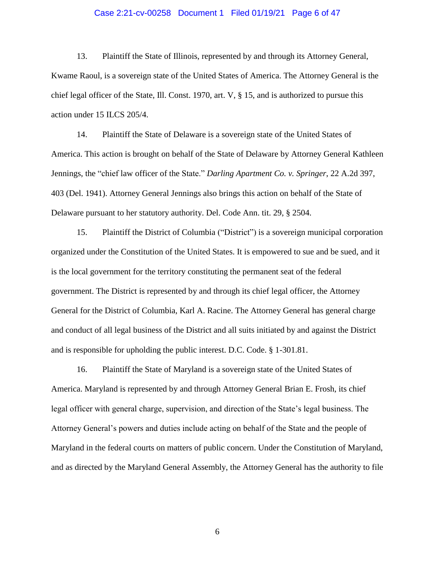## Case 2:21-cv-00258 Document 1 Filed 01/19/21 Page 6 of 47

13. Plaintiff the State of Illinois, represented by and through its Attorney General, Kwame Raoul, is a sovereign state of the United States of America. The Attorney General is the chief legal officer of the State, Ill. Const. 1970, art. V, § 15, and is authorized to pursue this action under 15 ILCS 205/4.

14. Plaintiff the State of Delaware is a sovereign state of the United States of America. This action is brought on behalf of the State of Delaware by Attorney General Kathleen Jennings, the "chief law officer of the State." *Darling Apartment Co. v. Springer*, 22 A.2d 397, 403 (Del. 1941). Attorney General Jennings also brings this action on behalf of the State of Delaware pursuant to her statutory authority. Del. Code Ann. tit. 29, § 2504.

15. Plaintiff the District of Columbia ("District") is a sovereign municipal corporation organized under the Constitution of the United States. It is empowered to sue and be sued, and it is the local government for the territory constituting the permanent seat of the federal government. The District is represented by and through its chief legal officer, the Attorney General for the District of Columbia, Karl A. Racine. The Attorney General has general charge and conduct of all legal business of the District and all suits initiated by and against the District and is responsible for upholding the public interest. D.C. Code. § 1-301.81.

16. Plaintiff the State of Maryland is a sovereign state of the United States of America. Maryland is represented by and through Attorney General Brian E. Frosh, its chief legal officer with general charge, supervision, and direction of the State's legal business. The Attorney General's powers and duties include acting on behalf of the State and the people of Maryland in the federal courts on matters of public concern. Under the Constitution of Maryland, and as directed by the Maryland General Assembly, the Attorney General has the authority to file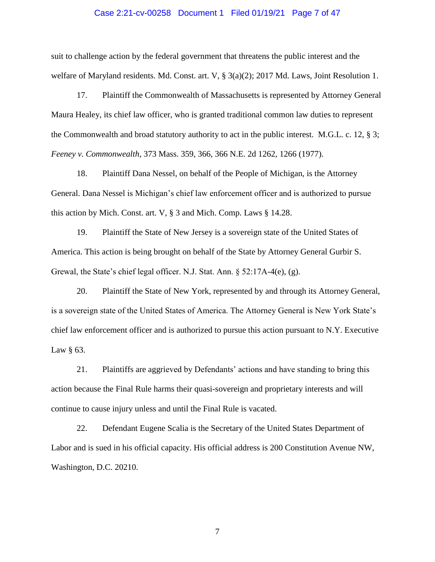#### Case 2:21-cv-00258 Document 1 Filed 01/19/21 Page 7 of 47

suit to challenge action by the federal government that threatens the public interest and the welfare of Maryland residents. Md. Const. art. V, § 3(a)(2); 2017 Md. Laws, Joint Resolution 1.

17. Plaintiff the Commonwealth of Massachusetts is represented by Attorney General Maura Healey, its chief law officer, who is granted traditional common law duties to represent the Commonwealth and broad statutory authority to act in the public interest. M.G.L. c. 12, § 3; *Feeney v. Commonwealth*, 373 Mass. 359, 366, 366 N.E. 2d 1262, 1266 (1977).

18. Plaintiff Dana Nessel, on behalf of the People of Michigan, is the Attorney General. Dana Nessel is Michigan's chief law enforcement officer and is authorized to pursue this action by Mich. Const. art. V, § 3 and Mich. Comp. Laws § 14.28.

19. Plaintiff the State of New Jersey is a sovereign state of the United States of America. This action is being brought on behalf of the State by Attorney General Gurbir S. Grewal, the State's chief legal officer. N.J. Stat. Ann. § 52:17A-4(e), (g).

20. Plaintiff the State of New York, represented by and through its Attorney General, is a sovereign state of the United States of America. The Attorney General is New York State's chief law enforcement officer and is authorized to pursue this action pursuant to N.Y. Executive Law  $\S$  63.

21. Plaintiffs are aggrieved by Defendants' actions and have standing to bring this action because the Final Rule harms their quasi-sovereign and proprietary interests and will continue to cause injury unless and until the Final Rule is vacated.

22. Defendant Eugene Scalia is the Secretary of the United States Department of Labor and is sued in his official capacity. His official address is 200 Constitution Avenue NW, Washington, D.C. 20210.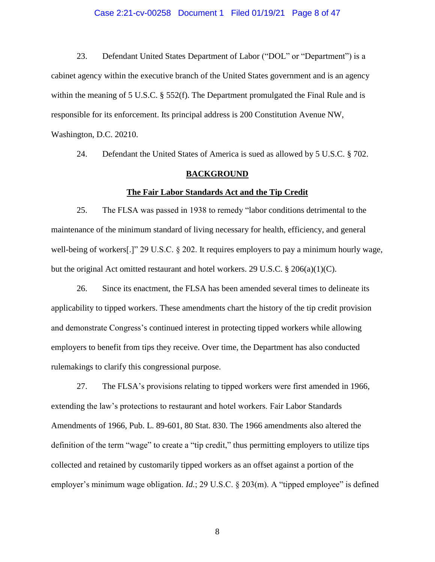## Case 2:21-cv-00258 Document 1 Filed 01/19/21 Page 8 of 47

23. Defendant United States Department of Labor ("DOL" or "Department") is a cabinet agency within the executive branch of the United States government and is an agency within the meaning of 5 U.S.C. § 552(f). The Department promulgated the Final Rule and is responsible for its enforcement. Its principal address is 200 Constitution Avenue NW, Washington, D.C. 20210.

24. Defendant the United States of America is sued as allowed by 5 U.S.C. § 702.

#### **BACKGROUND**

# **The Fair Labor Standards Act and the Tip Credit**

25. The FLSA was passed in 1938 to remedy "labor conditions detrimental to the maintenance of the minimum standard of living necessary for health, efficiency, and general well-being of workers[.]" 29 U.S.C. § 202. It requires employers to pay a minimum hourly wage, but the original Act omitted restaurant and hotel workers. 29 U.S.C. § 206(a)(1)(C).

26. Since its enactment, the FLSA has been amended several times to delineate its applicability to tipped workers. These amendments chart the history of the tip credit provision and demonstrate Congress's continued interest in protecting tipped workers while allowing employers to benefit from tips they receive. Over time, the Department has also conducted rulemakings to clarify this congressional purpose.

27. The FLSA's provisions relating to tipped workers were first amended in 1966, extending the law's protections to restaurant and hotel workers. Fair Labor Standards Amendments of 1966, Pub. L. 89-601, 80 Stat. 830. The 1966 amendments also altered the definition of the term "wage" to create a "tip credit," thus permitting employers to utilize tips collected and retained by customarily tipped workers as an offset against a portion of the employer's minimum wage obligation. *Id.*; 29 U.S.C. § 203(m). A "tipped employee" is defined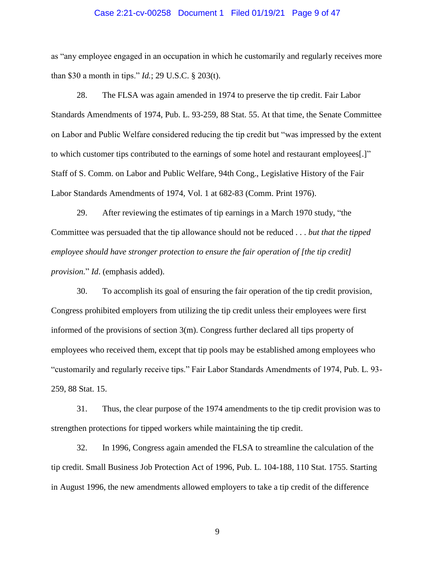#### Case 2:21-cv-00258 Document 1 Filed 01/19/21 Page 9 of 47

as "any employee engaged in an occupation in which he customarily and regularly receives more than \$30 a month in tips." *Id.*; 29 U.S.C. § 203(t).

28. The FLSA was again amended in 1974 to preserve the tip credit. Fair Labor Standards Amendments of 1974, Pub. L. 93-259, 88 Stat. 55. At that time, the Senate Committee on Labor and Public Welfare considered reducing the tip credit but "was impressed by the extent to which customer tips contributed to the earnings of some hotel and restaurant employees[.]" Staff of S. Comm. on Labor and Public Welfare, 94th Cong., Legislative History of the Fair Labor Standards Amendments of 1974, Vol. 1 at 682-83 (Comm. Print 1976).

29. After reviewing the estimates of tip earnings in a March 1970 study, "the Committee was persuaded that the tip allowance should not be reduced . . . *but that the tipped employee should have stronger protection to ensure the fair operation of [the tip credit] provision.*" *Id*. (emphasis added).

30. To accomplish its goal of ensuring the fair operation of the tip credit provision, Congress prohibited employers from utilizing the tip credit unless their employees were first informed of the provisions of section 3(m). Congress further declared all tips property of employees who received them, except that tip pools may be established among employees who "customarily and regularly receive tips." Fair Labor Standards Amendments of 1974, Pub. L. 93- 259, 88 Stat. 15.

31. Thus, the clear purpose of the 1974 amendments to the tip credit provision was to strengthen protections for tipped workers while maintaining the tip credit.

32. In 1996, Congress again amended the FLSA to streamline the calculation of the tip credit. Small Business Job Protection Act of 1996, Pub. L. 104-188, 110 Stat. 1755. Starting in August 1996, the new amendments allowed employers to take a tip credit of the difference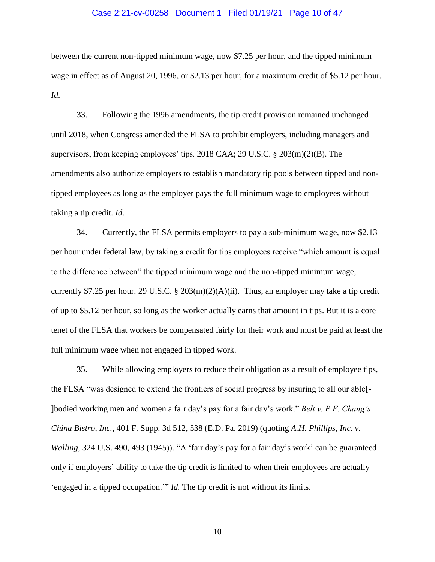## Case 2:21-cv-00258 Document 1 Filed 01/19/21 Page 10 of 47

between the current non-tipped minimum wage, now \$7.25 per hour, and the tipped minimum wage in effect as of August 20, 1996, or \$2.13 per hour, for a maximum credit of \$5.12 per hour. *Id.*

33. Following the 1996 amendments, the tip credit provision remained unchanged until 2018, when Congress amended the FLSA to prohibit employers, including managers and supervisors, from keeping employees' tips. 2018 CAA; 29 U.S.C. § 203(m)(2)(B). The amendments also authorize employers to establish mandatory tip pools between tipped and nontipped employees as long as the employer pays the full minimum wage to employees without taking a tip credit. *Id*.

34. Currently, the FLSA permits employers to pay a sub-minimum wage, now \$2.13 per hour under federal law, by taking a credit for tips employees receive "which amount is equal to the difference between" the tipped minimum wage and the non-tipped minimum wage, currently \$7.25 per hour. 29 U.S.C. § 203 $(m)(2)(A)(ii)$ . Thus, an employer may take a tip credit of up to \$5.12 per hour, so long as the worker actually earns that amount in tips. But it is a core tenet of the FLSA that workers be compensated fairly for their work and must be paid at least the full minimum wage when not engaged in tipped work.

35. While allowing employers to reduce their obligation as a result of employee tips, the FLSA "was designed to extend the frontiers of social progress by insuring to all our able[- ]bodied working men and women a fair day's pay for a fair day's work." *Belt v. P.F. Chang's China Bistro, Inc.*, 401 F. Supp. 3d 512, 538 (E.D. Pa. 2019) (quoting *A.H. Phillips, Inc. v. Walling*, 324 U.S. 490, 493 (1945)). "A 'fair day's pay for a fair day's work' can be guaranteed only if employers' ability to take the tip credit is limited to when their employees are actually 'engaged in a tipped occupation.'" *Id.* The tip credit is not without its limits.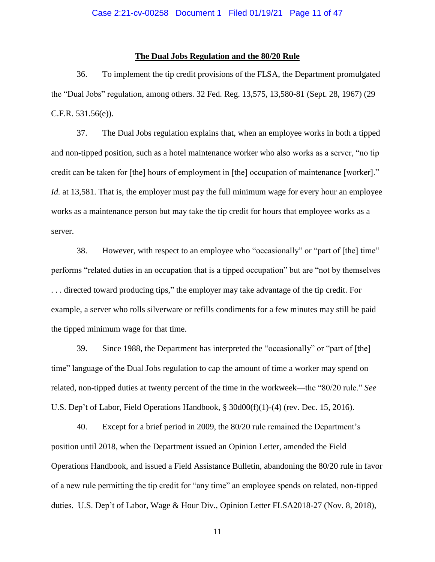## **The Dual Jobs Regulation and the 80/20 Rule**

36. To implement the tip credit provisions of the FLSA, the Department promulgated the "Dual Jobs" regulation, among others. 32 Fed. Reg. 13,575, 13,580-81 (Sept. 28, 1967) (29 C.F.R. 531.56(e)).

37. The Dual Jobs regulation explains that, when an employee works in both a tipped and non-tipped position, such as a hotel maintenance worker who also works as a server, "no tip credit can be taken for [the] hours of employment in [the] occupation of maintenance [worker]." *Id.* at 13,581. That is, the employer must pay the full minimum wage for every hour an employee works as a maintenance person but may take the tip credit for hours that employee works as a server.

38. However, with respect to an employee who "occasionally" or "part of [the] time" performs "related duties in an occupation that is a tipped occupation" but are "not by themselves . . . directed toward producing tips," the employer may take advantage of the tip credit. For example, a server who rolls silverware or refills condiments for a few minutes may still be paid the tipped minimum wage for that time.

39. Since 1988, the Department has interpreted the "occasionally" or "part of [the] time" language of the Dual Jobs regulation to cap the amount of time a worker may spend on related, non-tipped duties at twenty percent of the time in the workweek—the "80/20 rule." *See* U.S. Dep't of Labor, Field Operations Handbook, § 30d00(f)(1)-(4) (rev. Dec. 15, 2016).

40. Except for a brief period in 2009, the 80/20 rule remained the Department's position until 2018, when the Department issued an Opinion Letter, amended the Field Operations Handbook, and issued a Field Assistance Bulletin, abandoning the 80/20 rule in favor of a new rule permitting the tip credit for "any time" an employee spends on related, non-tipped duties. U.S. Dep't of Labor, Wage & Hour Div., Opinion Letter FLSA2018-27 (Nov. 8, 2018),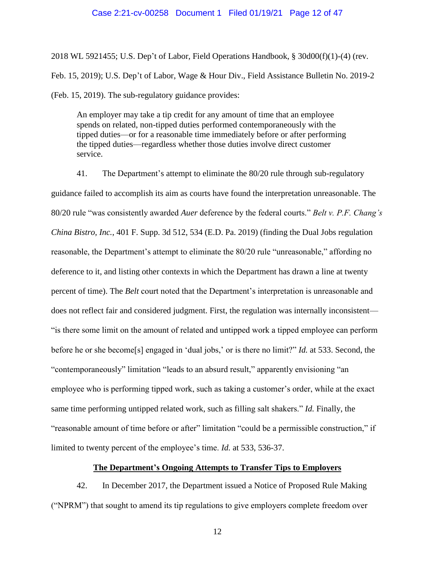#### Case 2:21-cv-00258 Document 1 Filed 01/19/21 Page 12 of 47

2018 WL 5921455; U.S. Dep't of Labor, Field Operations Handbook, § 30d00(f)(1)-(4) (rev. Feb. 15, 2019); U.S. Dep't of Labor, Wage & Hour Div., Field Assistance Bulletin No. 2019-2 (Feb. 15, 2019). The sub-regulatory guidance provides:

An employer may take a tip credit for any amount of time that an employee spends on related, non-tipped duties performed contemporaneously with the tipped duties—or for a reasonable time immediately before or after performing the tipped duties—regardless whether those duties involve direct customer service.

41. The Department's attempt to eliminate the 80/20 rule through sub-regulatory guidance failed to accomplish its aim as courts have found the interpretation unreasonable. The 80/20 rule "was consistently awarded *Auer* deference by the federal courts." *Belt v. P.F. Chang's China Bistro, Inc.*, 401 F. Supp. 3d 512, 534 (E.D. Pa. 2019) (finding the Dual Jobs regulation reasonable, the Department's attempt to eliminate the 80/20 rule "unreasonable," affording no deference to it, and listing other contexts in which the Department has drawn a line at twenty percent of time). The *Belt* court noted that the Department's interpretation is unreasonable and does not reflect fair and considered judgment. First, the regulation was internally inconsistent— "is there some limit on the amount of related and untipped work a tipped employee can perform before he or she become[s] engaged in 'dual jobs,' or is there no limit?" *Id.* at 533. Second, the "contemporaneously" limitation "leads to an absurd result," apparently envisioning "an employee who is performing tipped work, such as taking a customer's order, while at the exact same time performing untipped related work, such as filling salt shakers." *Id.* Finally, the "reasonable amount of time before or after" limitation "could be a permissible construction," if limited to twenty percent of the employee's time. *Id.* at 533, 536-37.

## **The Department's Ongoing Attempts to Transfer Tips to Employers**

42. In December 2017, the Department issued a Notice of Proposed Rule Making ("NPRM") that sought to amend its tip regulations to give employers complete freedom over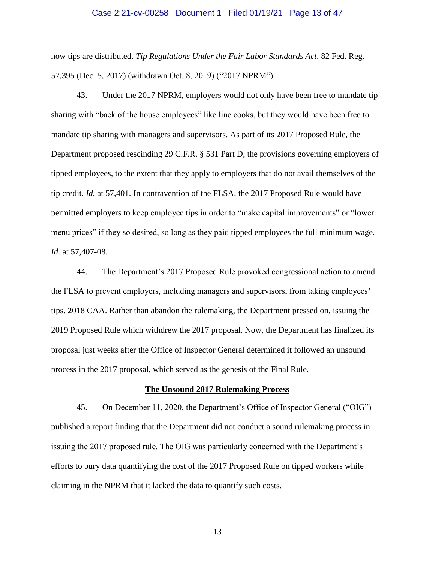#### Case 2:21-cv-00258 Document 1 Filed 01/19/21 Page 13 of 47

how tips are distributed. *Tip Regulations Under the Fair Labor Standards Act*, 82 Fed. Reg. 57,395 (Dec. 5, 2017) (withdrawn Oct. 8, 2019) ("2017 NPRM").

43. Under the 2017 NPRM, employers would not only have been free to mandate tip sharing with "back of the house employees" like line cooks, but they would have been free to mandate tip sharing with managers and supervisors. As part of its 2017 Proposed Rule, the Department proposed rescinding 29 C.F.R. § 531 Part D, the provisions governing employers of tipped employees, to the extent that they apply to employers that do not avail themselves of the tip credit. *Id.* at 57,401. In contravention of the FLSA, the 2017 Proposed Rule would have permitted employers to keep employee tips in order to "make capital improvements" or "lower menu prices" if they so desired, so long as they paid tipped employees the full minimum wage. *Id.* at 57,407-08.

44. The Department's 2017 Proposed Rule provoked congressional action to amend the FLSA to prevent employers, including managers and supervisors, from taking employees' tips. 2018 CAA. Rather than abandon the rulemaking, the Department pressed on, issuing the 2019 Proposed Rule which withdrew the 2017 proposal. Now, the Department has finalized its proposal just weeks after the Office of Inspector General determined it followed an unsound process in the 2017 proposal, which served as the genesis of the Final Rule.

### **The Unsound 2017 Rulemaking Process**

45. On December 11, 2020, the Department's Office of Inspector General ("OIG") published a report finding that the Department did not conduct a sound rulemaking process in issuing the 2017 proposed rule. The OIG was particularly concerned with the Department's efforts to bury data quantifying the cost of the 2017 Proposed Rule on tipped workers while claiming in the NPRM that it lacked the data to quantify such costs.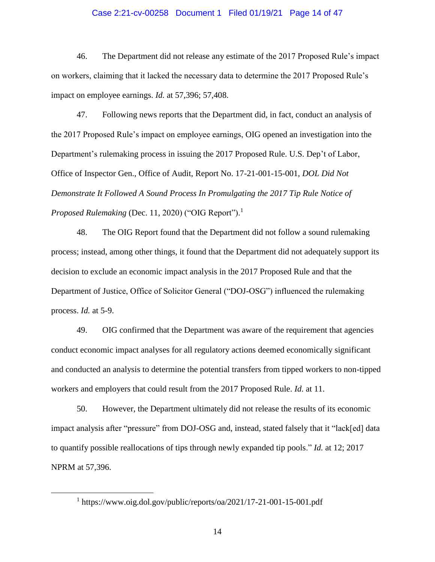## Case 2:21-cv-00258 Document 1 Filed 01/19/21 Page 14 of 47

46. The Department did not release any estimate of the 2017 Proposed Rule's impact on workers, claiming that it lacked the necessary data to determine the 2017 Proposed Rule's impact on employee earnings. *Id.* at 57,396; 57,408.

47. Following news reports that the Department did, in fact, conduct an analysis of the 2017 Proposed Rule's impact on employee earnings, OIG opened an investigation into the Department's rulemaking process in issuing the 2017 Proposed Rule. U.S. Dep't of Labor, Office of Inspector Gen., Office of Audit, Report No. 17-21-001-15-001, *DOL Did Not Demonstrate It Followed A Sound Process In Promulgating the 2017 Tip Rule Notice of Proposed Rulemaking* (Dec. 11, 2020) ("OIG Report").<sup>1</sup>

48. The OIG Report found that the Department did not follow a sound rulemaking process; instead, among other things, it found that the Department did not adequately support its decision to exclude an economic impact analysis in the 2017 Proposed Rule and that the Department of Justice, Office of Solicitor General ("DOJ-OSG") influenced the rulemaking process. *Id.* at 5-9.

49. OIG confirmed that the Department was aware of the requirement that agencies conduct economic impact analyses for all regulatory actions deemed economically significant and conducted an analysis to determine the potential transfers from tipped workers to non-tipped workers and employers that could result from the 2017 Proposed Rule. *Id*. at 11.

50. However, the Department ultimately did not release the results of its economic impact analysis after "pressure" from DOJ-OSG and, instead, stated falsely that it "lack[ed] data to quantify possible reallocations of tips through newly expanded tip pools." *Id.* at 12; 2017 NPRM at 57,396.

<sup>&</sup>lt;sup>1</sup> https://www.oig.dol.gov/public/reports/oa/2021/17-21-001-15-001.pdf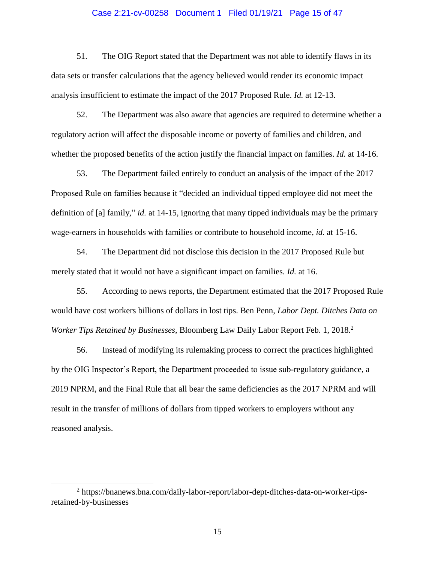## Case 2:21-cv-00258 Document 1 Filed 01/19/21 Page 15 of 47

51. The OIG Report stated that the Department was not able to identify flaws in its data sets or transfer calculations that the agency believed would render its economic impact analysis insufficient to estimate the impact of the 2017 Proposed Rule. *Id.* at 12-13.

52. The Department was also aware that agencies are required to determine whether a regulatory action will affect the disposable income or poverty of families and children, and whether the proposed benefits of the action justify the financial impact on families. *Id.* at 14-16.

53. The Department failed entirely to conduct an analysis of the impact of the 2017 Proposed Rule on families because it "decided an individual tipped employee did not meet the definition of [a] family," *id.* at 14-15, ignoring that many tipped individuals may be the primary wage-earners in households with families or contribute to household income, *id.* at 15-16.

54. The Department did not disclose this decision in the 2017 Proposed Rule but merely stated that it would not have a significant impact on families. *Id.* at 16.

55. According to news reports, the Department estimated that the 2017 Proposed Rule would have cost workers billions of dollars in lost tips. Ben Penn, *Labor Dept. Ditches Data on Worker Tips Retained by Businesses*, Bloomberg Law Daily Labor Report Feb. 1, 2018. 2

56. Instead of modifying its rulemaking process to correct the practices highlighted by the OIG Inspector's Report, the Department proceeded to issue sub-regulatory guidance, a 2019 NPRM, and the Final Rule that all bear the same deficiencies as the 2017 NPRM and will result in the transfer of millions of dollars from tipped workers to employers without any reasoned analysis.

<sup>&</sup>lt;sup>2</sup> https://bnanews.bna.com/daily-labor-report/labor-dept-ditches-data-on-worker-tipsretained-by-businesses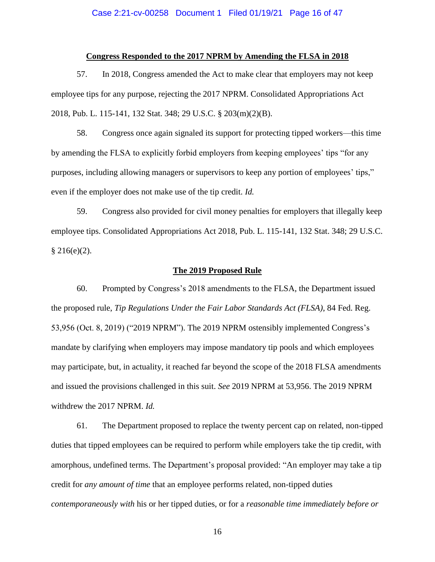## Case 2:21-cv-00258 Document 1 Filed 01/19/21 Page 16 of 47

#### **Congress Responded to the 2017 NPRM by Amending the FLSA in 2018**

57. In 2018, Congress amended the Act to make clear that employers may not keep employee tips for any purpose, rejecting the 2017 NPRM. Consolidated Appropriations Act 2018, Pub. L. 115-141, 132 Stat. 348; 29 U.S.C. § 203(m)(2)(B).

58. Congress once again signaled its support for protecting tipped workers—this time by amending the FLSA to explicitly forbid employers from keeping employees' tips "for any purposes, including allowing managers or supervisors to keep any portion of employees' tips," even if the employer does not make use of the tip credit. *Id.*

59. Congress also provided for civil money penalties for employers that illegally keep employee tips. Consolidated Appropriations Act 2018, Pub. L. 115-141, 132 Stat. 348; 29 U.S.C.  $§$  216(e)(2).

## **The 2019 Proposed Rule**

60. Prompted by Congress's 2018 amendments to the FLSA, the Department issued the proposed rule, *Tip Regulations Under the Fair Labor Standards Act (FLSA)*, 84 Fed. Reg. 53,956 (Oct. 8, 2019) ("2019 NPRM"). The 2019 NPRM ostensibly implemented Congress's mandate by clarifying when employers may impose mandatory tip pools and which employees may participate, but, in actuality, it reached far beyond the scope of the 2018 FLSA amendments and issued the provisions challenged in this suit. *See* 2019 NPRM at 53,956. The 2019 NPRM withdrew the 2017 NPRM. *Id.*

61. The Department proposed to replace the twenty percent cap on related, non-tipped duties that tipped employees can be required to perform while employers take the tip credit, with amorphous, undefined terms. The Department's proposal provided: "An employer may take a tip credit for *any amount of time* that an employee performs related, non-tipped duties *contemporaneously with* his or her tipped duties, or for a *reasonable time immediately before or*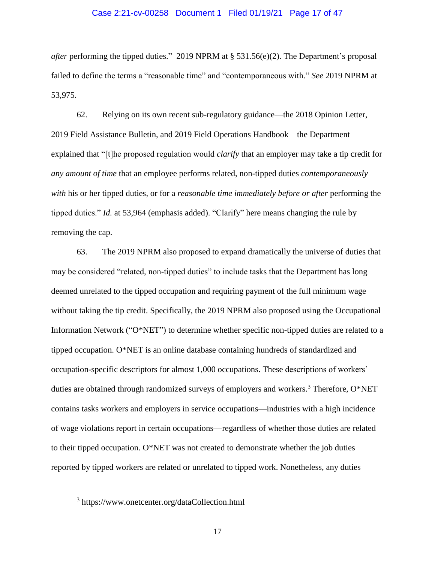#### Case 2:21-cv-00258 Document 1 Filed 01/19/21 Page 17 of 47

*after* performing the tipped duties." 2019 NPRM at § 531.56(e)(2). The Department's proposal failed to define the terms a "reasonable time" and "contemporaneous with." *See* 2019 NPRM at 53,975.

62. Relying on its own recent sub-regulatory guidance—the 2018 Opinion Letter, 2019 Field Assistance Bulletin, and 2019 Field Operations Handbook—the Department explained that "[t]he proposed regulation would *clarify* that an employer may take a tip credit for *any amount of time* that an employee performs related, non-tipped duties *contemporaneously with* his or her tipped duties, or for a *reasonable time immediately before or after* performing the tipped duties." *Id.* at 53,964 (emphasis added). "Clarify" here means changing the rule by removing the cap.

63. The 2019 NPRM also proposed to expand dramatically the universe of duties that may be considered "related, non-tipped duties" to include tasks that the Department has long deemed unrelated to the tipped occupation and requiring payment of the full minimum wage without taking the tip credit. Specifically, the 2019 NPRM also proposed using the Occupational Information Network ("O\*NET") to determine whether specific non-tipped duties are related to a tipped occupation. O\*NET is an online database containing hundreds of standardized and occupation-specific descriptors for almost 1,000 occupations. These descriptions of workers' duties are obtained through randomized surveys of employers and workers.<sup>3</sup> Therefore,  $O^*NET$ contains tasks workers and employers in service occupations—industries with a high incidence of wage violations report in certain occupations—regardless of whether those duties are related to their tipped occupation. O\*NET was not created to demonstrate whether the job duties reported by tipped workers are related or unrelated to tipped work. Nonetheless, any duties

<sup>3</sup> https://www.onetcenter.org/dataCollection.html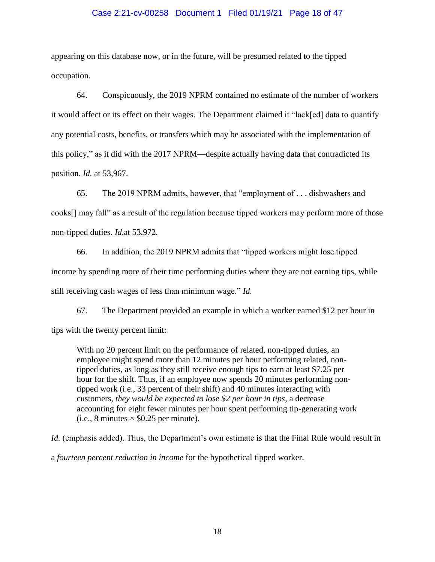## Case 2:21-cv-00258 Document 1 Filed 01/19/21 Page 18 of 47

appearing on this database now, or in the future, will be presumed related to the tipped occupation.

64. Conspicuously, the 2019 NPRM contained no estimate of the number of workers it would affect or its effect on their wages. The Department claimed it "lack[ed] data to quantify any potential costs, benefits, or transfers which may be associated with the implementation of this policy," as it did with the 2017 NPRM—despite actually having data that contradicted its position. *Id.* at 53,967.

65. The 2019 NPRM admits, however, that "employment of . . . dishwashers and cooks[] may fall" as a result of the regulation because tipped workers may perform more of those non-tipped duties. *Id.*at 53,972.

66. In addition, the 2019 NPRM admits that "tipped workers might lose tipped income by spending more of their time performing duties where they are not earning tips, while still receiving cash wages of less than minimum wage." *Id.*

67. The Department provided an example in which a worker earned \$12 per hour in tips with the twenty percent limit:

With no 20 percent limit on the performance of related, non-tipped duties, an employee might spend more than 12 minutes per hour performing related, nontipped duties, as long as they still receive enough tips to earn at least \$7.25 per hour for the shift. Thus, if an employee now spends 20 minutes performing nontipped work (i.e., 33 percent of their shift) and 40 minutes interacting with customers, *they would be expected to lose \$2 per hour in tips*, a decrease accounting for eight fewer minutes per hour spent performing tip-generating work (i.e., 8 minutes  $\times$  \$0.25 per minute).

*Id.* (emphasis added). Thus, the Department's own estimate is that the Final Rule would result in

a *fourteen percent reduction in income* for the hypothetical tipped worker.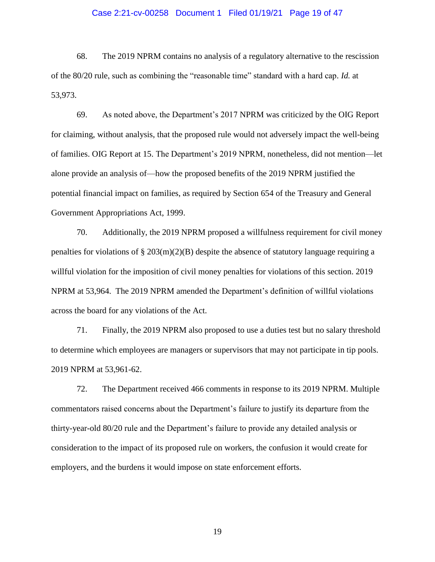## Case 2:21-cv-00258 Document 1 Filed 01/19/21 Page 19 of 47

68. The 2019 NPRM contains no analysis of a regulatory alternative to the rescission of the 80/20 rule, such as combining the "reasonable time" standard with a hard cap. *Id.* at 53,973.

69. As noted above, the Department's 2017 NPRM was criticized by the OIG Report for claiming, without analysis, that the proposed rule would not adversely impact the well-being of families. OIG Report at 15. The Department's 2019 NPRM, nonetheless, did not mention—let alone provide an analysis of—how the proposed benefits of the 2019 NPRM justified the potential financial impact on families, as required by Section 654 of the Treasury and General Government Appropriations Act, 1999.

70. Additionally, the 2019 NPRM proposed a willfulness requirement for civil money penalties for violations of  $\S 203(m)(2)(B)$  despite the absence of statutory language requiring a willful violation for the imposition of civil money penalties for violations of this section. 2019 NPRM at 53,964. The 2019 NPRM amended the Department's definition of willful violations across the board for any violations of the Act.

71. Finally, the 2019 NPRM also proposed to use a duties test but no salary threshold to determine which employees are managers or supervisors that may not participate in tip pools. 2019 NPRM at 53,961-62.

72. The Department received 466 comments in response to its 2019 NPRM. Multiple commentators raised concerns about the Department's failure to justify its departure from the thirty-year-old 80/20 rule and the Department's failure to provide any detailed analysis or consideration to the impact of its proposed rule on workers, the confusion it would create for employers, and the burdens it would impose on state enforcement efforts.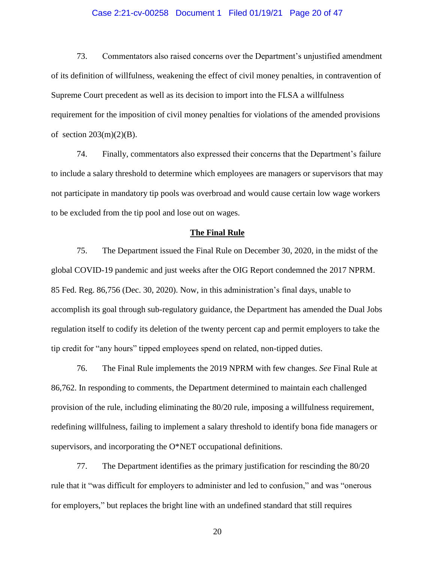## Case 2:21-cv-00258 Document 1 Filed 01/19/21 Page 20 of 47

73. Commentators also raised concerns over the Department's unjustified amendment of its definition of willfulness, weakening the effect of civil money penalties, in contravention of Supreme Court precedent as well as its decision to import into the FLSA a willfulness requirement for the imposition of civil money penalties for violations of the amended provisions of section  $203(m)(2)(B)$ .

74. Finally, commentators also expressed their concerns that the Department's failure to include a salary threshold to determine which employees are managers or supervisors that may not participate in mandatory tip pools was overbroad and would cause certain low wage workers to be excluded from the tip pool and lose out on wages.

## **The Final Rule**

75. The Department issued the Final Rule on December 30, 2020, in the midst of the global COVID-19 pandemic and just weeks after the OIG Report condemned the 2017 NPRM. 85 Fed. Reg. 86,756 (Dec. 30, 2020). Now, in this administration's final days, unable to accomplish its goal through sub-regulatory guidance, the Department has amended the Dual Jobs regulation itself to codify its deletion of the twenty percent cap and permit employers to take the tip credit for "any hours" tipped employees spend on related, non-tipped duties.

76. The Final Rule implements the 2019 NPRM with few changes. *See* Final Rule at 86,762. In responding to comments, the Department determined to maintain each challenged provision of the rule, including eliminating the 80/20 rule, imposing a willfulness requirement, redefining willfulness, failing to implement a salary threshold to identify bona fide managers or supervisors, and incorporating the O\*NET occupational definitions.

77. The Department identifies as the primary justification for rescinding the 80/20 rule that it "was difficult for employers to administer and led to confusion," and was "onerous for employers," but replaces the bright line with an undefined standard that still requires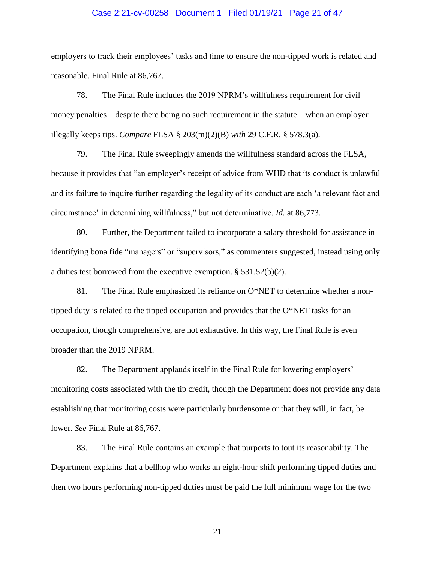## Case 2:21-cv-00258 Document 1 Filed 01/19/21 Page 21 of 47

employers to track their employees' tasks and time to ensure the non-tipped work is related and reasonable. Final Rule at 86,767.

78. The Final Rule includes the 2019 NPRM's willfulness requirement for civil money penalties—despite there being no such requirement in the statute—when an employer illegally keeps tips. *Compare* FLSA § 203(m)(2)(B) *with* 29 C.F.R. § 578.3(a).

79. The Final Rule sweepingly amends the willfulness standard across the FLSA, because it provides that "an employer's receipt of advice from WHD that its conduct is unlawful and its failure to inquire further regarding the legality of its conduct are each 'a relevant fact and circumstance' in determining willfulness," but not determinative. *Id.* at 86,773.

80. Further, the Department failed to incorporate a salary threshold for assistance in identifying bona fide "managers" or "supervisors," as commenters suggested, instead using only a duties test borrowed from the executive exemption. § 531.52(b)(2).

81. The Final Rule emphasized its reliance on O\*NET to determine whether a nontipped duty is related to the tipped occupation and provides that the O\*NET tasks for an occupation, though comprehensive, are not exhaustive. In this way, the Final Rule is even broader than the 2019 NPRM.

82. The Department applauds itself in the Final Rule for lowering employers' monitoring costs associated with the tip credit, though the Department does not provide any data establishing that monitoring costs were particularly burdensome or that they will, in fact, be lower. *See* Final Rule at 86,767.

83. The Final Rule contains an example that purports to tout its reasonability. The Department explains that a bellhop who works an eight-hour shift performing tipped duties and then two hours performing non-tipped duties must be paid the full minimum wage for the two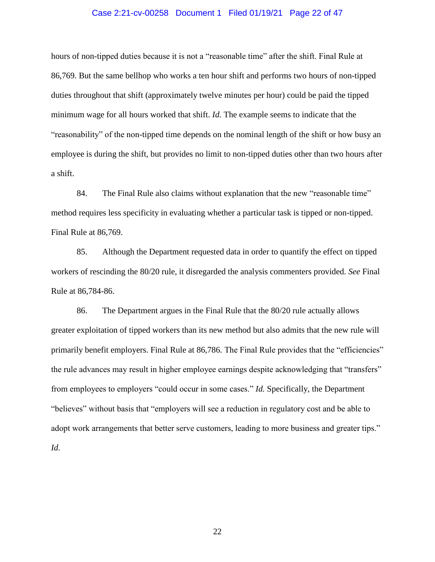## Case 2:21-cv-00258 Document 1 Filed 01/19/21 Page 22 of 47

hours of non-tipped duties because it is not a "reasonable time" after the shift. Final Rule at 86,769. But the same bellhop who works a ten hour shift and performs two hours of non-tipped duties throughout that shift (approximately twelve minutes per hour) could be paid the tipped minimum wage for all hours worked that shift. *Id.* The example seems to indicate that the "reasonability" of the non-tipped time depends on the nominal length of the shift or how busy an employee is during the shift, but provides no limit to non-tipped duties other than two hours after a shift.

84. The Final Rule also claims without explanation that the new "reasonable time" method requires less specificity in evaluating whether a particular task is tipped or non-tipped. Final Rule at 86,769.

85. Although the Department requested data in order to quantify the effect on tipped workers of rescinding the 80/20 rule, it disregarded the analysis commenters provided. *See* Final Rule at 86,784-86.

86. The Department argues in the Final Rule that the 80/20 rule actually allows greater exploitation of tipped workers than its new method but also admits that the new rule will primarily benefit employers. Final Rule at 86,786. The Final Rule provides that the "efficiencies" the rule advances may result in higher employee earnings despite acknowledging that "transfers" from employees to employers "could occur in some cases." *Id.* Specifically, the Department "believes" without basis that "employers will see a reduction in regulatory cost and be able to adopt work arrangements that better serve customers, leading to more business and greater tips." *Id.*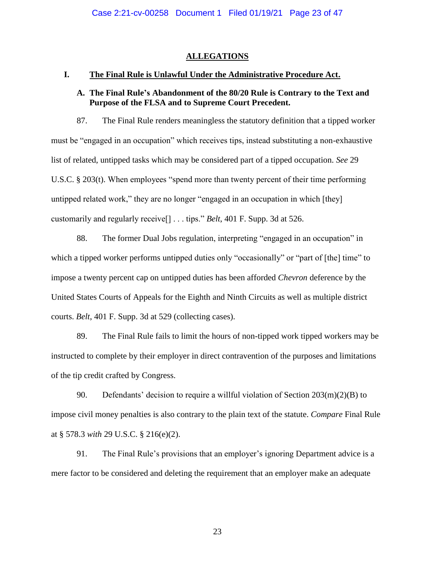## **ALLEGATIONS**

## **I. The Final Rule is Unlawful Under the Administrative Procedure Act.**

## **A. The Final Rule's Abandonment of the 80/20 Rule is Contrary to the Text and Purpose of the FLSA and to Supreme Court Precedent.**

87. The Final Rule renders meaningless the statutory definition that a tipped worker must be "engaged in an occupation" which receives tips, instead substituting a non-exhaustive list of related, untipped tasks which may be considered part of a tipped occupation. *See* 29 U.S.C. § 203(t). When employees "spend more than twenty percent of their time performing untipped related work," they are no longer "engaged in an occupation in which [they] customarily and regularly receive[] . . . tips." *Belt*, 401 F. Supp. 3d at 526.

88. The former Dual Jobs regulation, interpreting "engaged in an occupation" in which a tipped worker performs untipped duties only "occasionally" or "part of [the] time" to impose a twenty percent cap on untipped duties has been afforded *Chevron* deference by the United States Courts of Appeals for the Eighth and Ninth Circuits as well as multiple district courts. *Belt*, 401 F. Supp. 3d at 529 (collecting cases).

89. The Final Rule fails to limit the hours of non-tipped work tipped workers may be instructed to complete by their employer in direct contravention of the purposes and limitations of the tip credit crafted by Congress.

90. Defendants' decision to require a willful violation of Section 203(m)(2)(B) to impose civil money penalties is also contrary to the plain text of the statute. *Compare* Final Rule at § 578.3 *with* 29 U.S.C. § 216(e)(2).

91. The Final Rule's provisions that an employer's ignoring Department advice is a mere factor to be considered and deleting the requirement that an employer make an adequate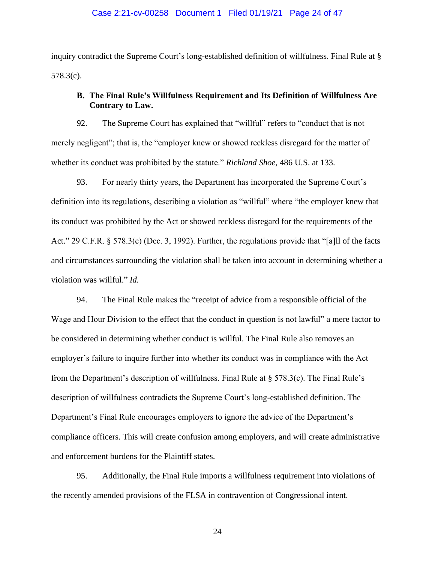#### Case 2:21-cv-00258 Document 1 Filed 01/19/21 Page 24 of 47

inquiry contradict the Supreme Court's long-established definition of willfulness. Final Rule at § 578.3(c).

# **B. The Final Rule's Willfulness Requirement and Its Definition of Willfulness Are Contrary to Law.**

92. The Supreme Court has explained that "willful" refers to "conduct that is not merely negligent"; that is, the "employer knew or showed reckless disregard for the matter of whether its conduct was prohibited by the statute." *Richland Shoe*, 486 U.S. at 133.

93. For nearly thirty years, the Department has incorporated the Supreme Court's definition into its regulations, describing a violation as "willful" where "the employer knew that its conduct was prohibited by the Act or showed reckless disregard for the requirements of the Act." 29 C.F.R. § 578.3(c) (Dec. 3, 1992). Further, the regulations provide that "[a]ll of the facts and circumstances surrounding the violation shall be taken into account in determining whether a violation was willful." *Id.*

94. The Final Rule makes the "receipt of advice from a responsible official of the Wage and Hour Division to the effect that the conduct in question is not lawful" a mere factor to be considered in determining whether conduct is willful. The Final Rule also removes an employer's failure to inquire further into whether its conduct was in compliance with the Act from the Department's description of willfulness. Final Rule at § 578.3(c). The Final Rule's description of willfulness contradicts the Supreme Court's long-established definition. The Department's Final Rule encourages employers to ignore the advice of the Department's compliance officers. This will create confusion among employers, and will create administrative and enforcement burdens for the Plaintiff states.

95. Additionally, the Final Rule imports a willfulness requirement into violations of the recently amended provisions of the FLSA in contravention of Congressional intent.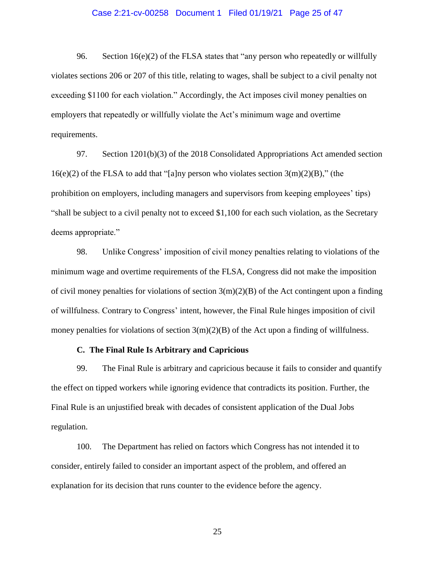### Case 2:21-cv-00258 Document 1 Filed 01/19/21 Page 25 of 47

96. Section  $16(e)(2)$  of the FLSA states that "any person who repeatedly or willfully violates sections 206 or 207 of this title, relating to wages, shall be subject to a civil penalty not exceeding \$1100 for each violation." Accordingly, the Act imposes civil money penalties on employers that repeatedly or willfully violate the Act's minimum wage and overtime requirements.

97. Section 1201(b)(3) of the 2018 Consolidated Appropriations Act amended section  $16(e)(2)$  of the FLSA to add that "[a]ny person who violates section  $3(m)(2)(B)$ ," (the prohibition on employers, including managers and supervisors from keeping employees' tips) "shall be subject to a civil penalty not to exceed \$1,100 for each such violation, as the Secretary deems appropriate."

98. Unlike Congress' imposition of civil money penalties relating to violations of the minimum wage and overtime requirements of the FLSA, Congress did not make the imposition of civil money penalties for violations of section  $3(m)(2)(B)$  of the Act contingent upon a finding of willfulness. Contrary to Congress' intent, however, the Final Rule hinges imposition of civil money penalties for violations of section  $3(m)(2)(B)$  of the Act upon a finding of willfulness.

## **C. The Final Rule Is Arbitrary and Capricious**

99. The Final Rule is arbitrary and capricious because it fails to consider and quantify the effect on tipped workers while ignoring evidence that contradicts its position. Further, the Final Rule is an unjustified break with decades of consistent application of the Dual Jobs regulation.

100. The Department has relied on factors which Congress has not intended it to consider, entirely failed to consider an important aspect of the problem, and offered an explanation for its decision that runs counter to the evidence before the agency.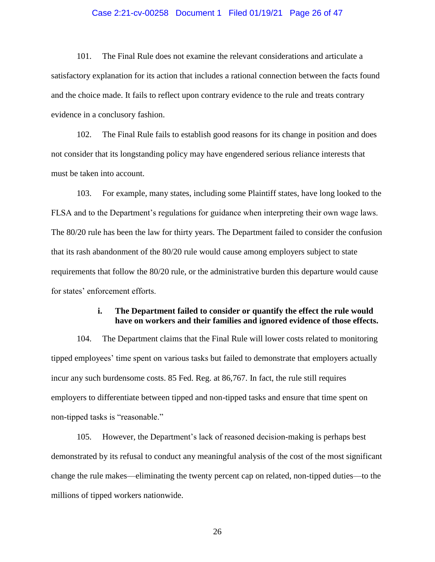## Case 2:21-cv-00258 Document 1 Filed 01/19/21 Page 26 of 47

101. The Final Rule does not examine the relevant considerations and articulate a satisfactory explanation for its action that includes a rational connection between the facts found and the choice made. It fails to reflect upon contrary evidence to the rule and treats contrary evidence in a conclusory fashion.

102. The Final Rule fails to establish good reasons for its change in position and does not consider that its longstanding policy may have engendered serious reliance interests that must be taken into account.

103. For example, many states, including some Plaintiff states, have long looked to the FLSA and to the Department's regulations for guidance when interpreting their own wage laws. The 80/20 rule has been the law for thirty years. The Department failed to consider the confusion that its rash abandonment of the 80/20 rule would cause among employers subject to state requirements that follow the 80/20 rule, or the administrative burden this departure would cause for states' enforcement efforts.

# **i. The Department failed to consider or quantify the effect the rule would have on workers and their families and ignored evidence of those effects.**

104. The Department claims that the Final Rule will lower costs related to monitoring tipped employees' time spent on various tasks but failed to demonstrate that employers actually incur any such burdensome costs. 85 Fed. Reg. at 86,767. In fact, the rule still requires employers to differentiate between tipped and non-tipped tasks and ensure that time spent on non-tipped tasks is "reasonable."

105. However, the Department's lack of reasoned decision-making is perhaps best demonstrated by its refusal to conduct any meaningful analysis of the cost of the most significant change the rule makes—eliminating the twenty percent cap on related, non-tipped duties—to the millions of tipped workers nationwide.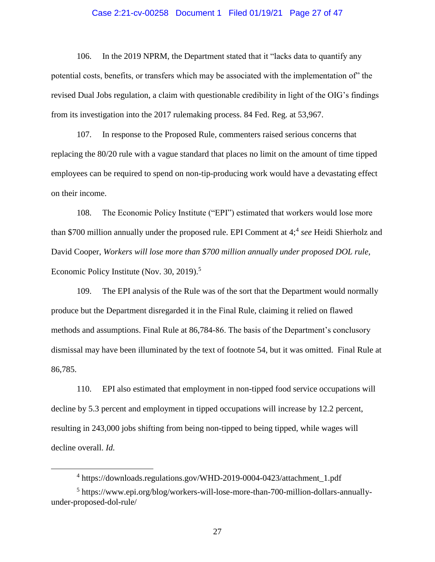### Case 2:21-cv-00258 Document 1 Filed 01/19/21 Page 27 of 47

106. In the 2019 NPRM, the Department stated that it "lacks data to quantify any potential costs, benefits, or transfers which may be associated with the implementation of" the revised Dual Jobs regulation, a claim with questionable credibility in light of the OIG's findings from its investigation into the 2017 rulemaking process. 84 Fed. Reg. at 53,967.

107. In response to the Proposed Rule, commenters raised serious concerns that replacing the 80/20 rule with a vague standard that places no limit on the amount of time tipped employees can be required to spend on non-tip-producing work would have a devastating effect on their income.

108. The Economic Policy Institute ("EPI") estimated that workers would lose more than \$700 million annually under the proposed rule. EPI Comment at 4;<sup>4</sup> see Heidi Shierholz and David Cooper, *Workers will lose more than \$700 million annually under proposed DOL rule,*  Economic Policy Institute (Nov. 30, 2019).<sup>5</sup>

109. The EPI analysis of the Rule was of the sort that the Department would normally produce but the Department disregarded it in the Final Rule, claiming it relied on flawed methods and assumptions. Final Rule at 86,784-86. The basis of the Department's conclusory dismissal may have been illuminated by the text of footnote 54, but it was omitted. Final Rule at 86,785.

110. EPI also estimated that employment in non-tipped food service occupations will decline by 5.3 percent and employment in tipped occupations will increase by 12.2 percent, resulting in 243,000 jobs shifting from being non-tipped to being tipped, while wages will decline overall. *Id.*

 $\overline{a}$ 

<sup>4</sup> https://downloads.regulations.gov/WHD-2019-0004-0423/attachment\_1.pdf

<sup>&</sup>lt;sup>5</sup> https://www.epi.org/blog/workers-will-lose-more-than-700-million-dollars-annuallyunder-proposed-dol-rule/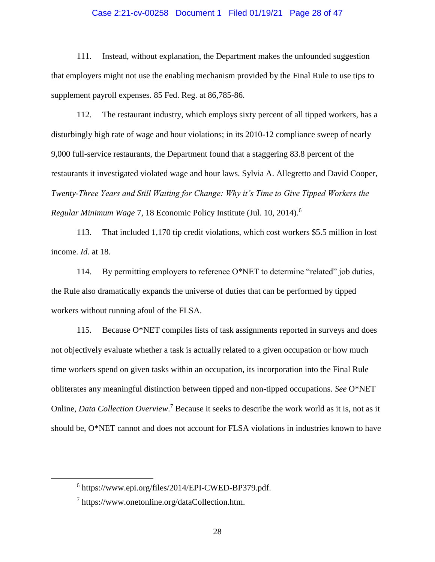## Case 2:21-cv-00258 Document 1 Filed 01/19/21 Page 28 of 47

111. Instead, without explanation, the Department makes the unfounded suggestion that employers might not use the enabling mechanism provided by the Final Rule to use tips to supplement payroll expenses. 85 Fed. Reg. at 86,785-86.

112. The restaurant industry, which employs sixty percent of all tipped workers, has a disturbingly high rate of wage and hour violations; in its 2010-12 compliance sweep of nearly 9,000 full-service restaurants, the Department found that a staggering 83.8 percent of the restaurants it investigated violated wage and hour laws. Sylvia A. Allegretto and David Cooper, *Twenty-Three Years and Still Waiting for Change: Why it's Time to Give Tipped Workers the Regular Minimum Wage* 7, 18 Economic Policy Institute (Jul. 10, 2014). 6

113. That included 1,170 tip credit violations, which cost workers \$5.5 million in lost income. *Id*. at 18.

114. By permitting employers to reference O\*NET to determine "related" job duties, the Rule also dramatically expands the universe of duties that can be performed by tipped workers without running afoul of the FLSA.

115. Because O\*NET compiles lists of task assignments reported in surveys and does not objectively evaluate whether a task is actually related to a given occupation or how much time workers spend on given tasks within an occupation, its incorporation into the Final Rule obliterates any meaningful distinction between tipped and non-tipped occupations. *See* O\*NET Online, *Data Collection Overview*.<sup>7</sup> Because it seeks to describe the work world as it is, not as it should be, O\*NET cannot and does not account for FLSA violations in industries known to have

<sup>6</sup> https://www.epi.org/files/2014/EPI-CWED-BP379.pdf.

<sup>&</sup>lt;sup>7</sup> https://www.onetonline.org/dataCollection.htm.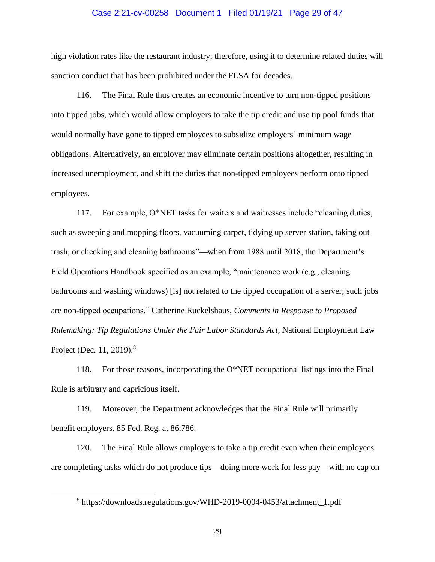#### Case 2:21-cv-00258 Document 1 Filed 01/19/21 Page 29 of 47

high violation rates like the restaurant industry; therefore, using it to determine related duties will sanction conduct that has been prohibited under the FLSA for decades.

116. The Final Rule thus creates an economic incentive to turn non-tipped positions into tipped jobs, which would allow employers to take the tip credit and use tip pool funds that would normally have gone to tipped employees to subsidize employers' minimum wage obligations. Alternatively, an employer may eliminate certain positions altogether, resulting in increased unemployment, and shift the duties that non-tipped employees perform onto tipped employees.

117. For example, O\*NET tasks for waiters and waitresses include "cleaning duties, such as sweeping and mopping floors, vacuuming carpet, tidying up server station, taking out trash, or checking and cleaning bathrooms"—when from 1988 until 2018, the Department's Field Operations Handbook specified as an example, "maintenance work (e.g., cleaning bathrooms and washing windows) [is] not related to the tipped occupation of a server; such jobs are non-tipped occupations." Catherine Ruckelshaus, *Comments in Response to Proposed Rulemaking: Tip Regulations Under the Fair Labor Standards Act*, National Employment Law Project (Dec. 11, 2019).<sup>8</sup>

118. For those reasons, incorporating the O\*NET occupational listings into the Final Rule is arbitrary and capricious itself.

119. Moreover, the Department acknowledges that the Final Rule will primarily benefit employers. 85 Fed. Reg. at 86,786.

120. The Final Rule allows employers to take a tip credit even when their employees are completing tasks which do not produce tips—doing more work for less pay—with no cap on

<sup>&</sup>lt;sup>8</sup> https://downloads.regulations.gov/WHD-2019-0004-0453/attachment\_1.pdf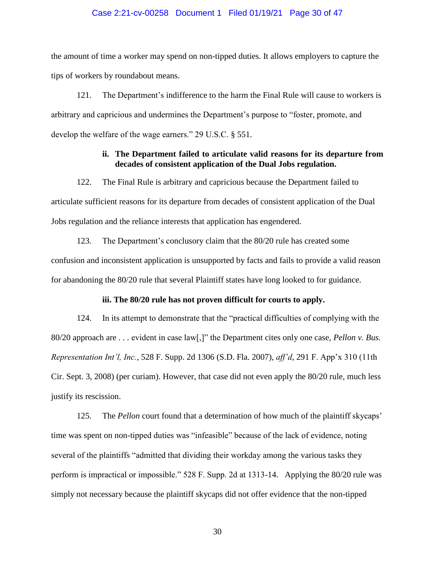#### Case 2:21-cv-00258 Document 1 Filed 01/19/21 Page 30 of 47

the amount of time a worker may spend on non-tipped duties. It allows employers to capture the tips of workers by roundabout means.

121. The Department's indifference to the harm the Final Rule will cause to workers is arbitrary and capricious and undermines the Department's purpose to "foster, promote, and develop the welfare of the wage earners." 29 U.S.C. § 551.

# **ii. The Department failed to articulate valid reasons for its departure from decades of consistent application of the Dual Jobs regulation.**

122. The Final Rule is arbitrary and capricious because the Department failed to articulate sufficient reasons for its departure from decades of consistent application of the Dual Jobs regulation and the reliance interests that application has engendered.

123. The Department's conclusory claim that the 80/20 rule has created some confusion and inconsistent application is unsupported by facts and fails to provide a valid reason for abandoning the 80/20 rule that several Plaintiff states have long looked to for guidance.

## **iii. The 80/20 rule has not proven difficult for courts to apply.**

124. In its attempt to demonstrate that the "practical difficulties of complying with the 80/20 approach are . . . evident in case law[,]" the Department cites only one case, *Pellon v. Bus. Representation Int'l, Inc.*, 528 F. Supp. 2d 1306 (S.D. Fla. 2007), *aff'd*, 291 F. App'x 310 (11th Cir. Sept. 3, 2008) (per curiam). However, that case did not even apply the 80/20 rule, much less justify its rescission.

125. The *Pellon* court found that a determination of how much of the plaintiff skycaps' time was spent on non-tipped duties was "infeasible" because of the lack of evidence, noting several of the plaintiffs "admitted that dividing their workday among the various tasks they perform is impractical or impossible." 528 F. Supp. 2d at 1313-14. Applying the 80/20 rule was simply not necessary because the plaintiff skycaps did not offer evidence that the non-tipped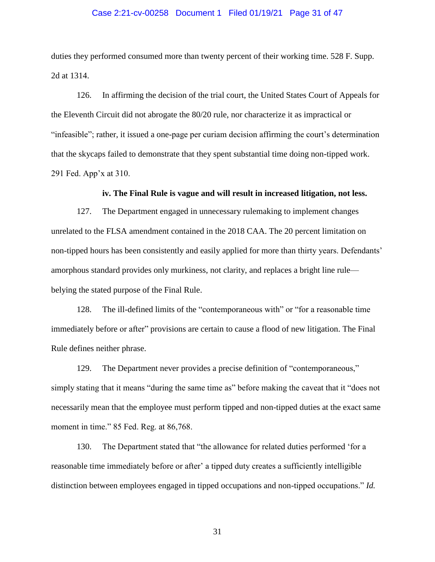## Case 2:21-cv-00258 Document 1 Filed 01/19/21 Page 31 of 47

duties they performed consumed more than twenty percent of their working time. 528 F. Supp. 2d at 1314.

126. In affirming the decision of the trial court, the United States Court of Appeals for the Eleventh Circuit did not abrogate the 80/20 rule, nor characterize it as impractical or "infeasible"; rather, it issued a one-page per curiam decision affirming the court's determination that the skycaps failed to demonstrate that they spent substantial time doing non-tipped work. 291 Fed. App'x at 310.

## **iv. The Final Rule is vague and will result in increased litigation, not less.**

127. The Department engaged in unnecessary rulemaking to implement changes unrelated to the FLSA amendment contained in the 2018 CAA. The 20 percent limitation on non-tipped hours has been consistently and easily applied for more than thirty years. Defendants' amorphous standard provides only murkiness, not clarity, and replaces a bright line rule belying the stated purpose of the Final Rule.

128. The ill-defined limits of the "contemporaneous with" or "for a reasonable time immediately before or after" provisions are certain to cause a flood of new litigation. The Final Rule defines neither phrase.

129. The Department never provides a precise definition of "contemporaneous," simply stating that it means "during the same time as" before making the caveat that it "does not necessarily mean that the employee must perform tipped and non-tipped duties at the exact same moment in time." 85 Fed. Reg. at 86,768.

130. The Department stated that "the allowance for related duties performed 'for a reasonable time immediately before or after' a tipped duty creates a sufficiently intelligible distinction between employees engaged in tipped occupations and non-tipped occupations." *Id.*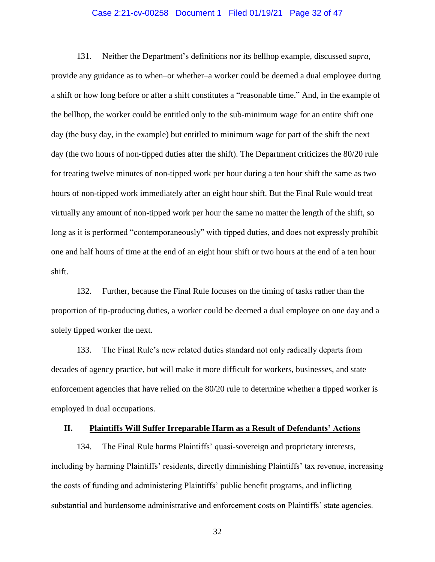## Case 2:21-cv-00258 Document 1 Filed 01/19/21 Page 32 of 47

131. Neither the Department's definitions nor its bellhop example, discussed *supra*, provide any guidance as to when–or whether–a worker could be deemed a dual employee during a shift or how long before or after a shift constitutes a "reasonable time." And, in the example of the bellhop, the worker could be entitled only to the sub-minimum wage for an entire shift one day (the busy day, in the example) but entitled to minimum wage for part of the shift the next day (the two hours of non-tipped duties after the shift). The Department criticizes the 80/20 rule for treating twelve minutes of non-tipped work per hour during a ten hour shift the same as two hours of non-tipped work immediately after an eight hour shift. But the Final Rule would treat virtually any amount of non-tipped work per hour the same no matter the length of the shift, so long as it is performed "contemporaneously" with tipped duties, and does not expressly prohibit one and half hours of time at the end of an eight hour shift or two hours at the end of a ten hour shift.

132. Further, because the Final Rule focuses on the timing of tasks rather than the proportion of tip-producing duties, a worker could be deemed a dual employee on one day and a solely tipped worker the next.

133. The Final Rule's new related duties standard not only radically departs from decades of agency practice, but will make it more difficult for workers, businesses, and state enforcement agencies that have relied on the 80/20 rule to determine whether a tipped worker is employed in dual occupations.

## **II. Plaintiffs Will Suffer Irreparable Harm as a Result of Defendants' Actions**

134. The Final Rule harms Plaintiffs' quasi-sovereign and proprietary interests, including by harming Plaintiffs' residents, directly diminishing Plaintiffs' tax revenue, increasing the costs of funding and administering Plaintiffs' public benefit programs, and inflicting substantial and burdensome administrative and enforcement costs on Plaintiffs' state agencies.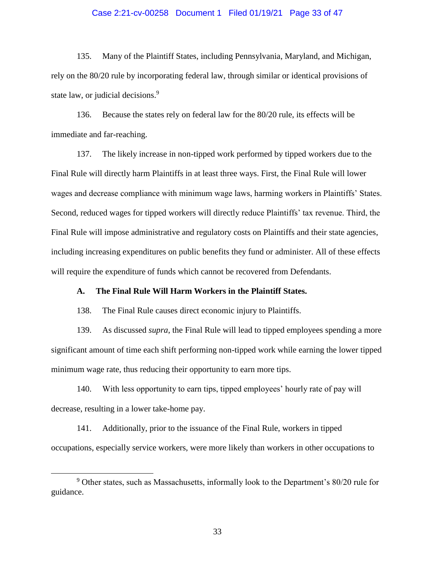## Case 2:21-cv-00258 Document 1 Filed 01/19/21 Page 33 of 47

135. Many of the Plaintiff States, including Pennsylvania, Maryland, and Michigan, rely on the 80/20 rule by incorporating federal law, through similar or identical provisions of state law, or judicial decisions.<sup>9</sup>

136. Because the states rely on federal law for the 80/20 rule, its effects will be immediate and far-reaching.

137. The likely increase in non-tipped work performed by tipped workers due to the Final Rule will directly harm Plaintiffs in at least three ways. First, the Final Rule will lower wages and decrease compliance with minimum wage laws, harming workers in Plaintiffs' States. Second, reduced wages for tipped workers will directly reduce Plaintiffs' tax revenue. Third, the Final Rule will impose administrative and regulatory costs on Plaintiffs and their state agencies, including increasing expenditures on public benefits they fund or administer. All of these effects will require the expenditure of funds which cannot be recovered from Defendants.

#### **A. The Final Rule Will Harm Workers in the Plaintiff States.**

138. The Final Rule causes direct economic injury to Plaintiffs.

139. As discussed *supra*, the Final Rule will lead to tipped employees spending a more significant amount of time each shift performing non-tipped work while earning the lower tipped minimum wage rate, thus reducing their opportunity to earn more tips.

140. With less opportunity to earn tips, tipped employees' hourly rate of pay will decrease, resulting in a lower take-home pay.

141. Additionally, prior to the issuance of the Final Rule, workers in tipped occupations, especially service workers, were more likely than workers in other occupations to

 $\overline{a}$ 

 $9$  Other states, such as Massachusetts, informally look to the Department's 80/20 rule for guidance.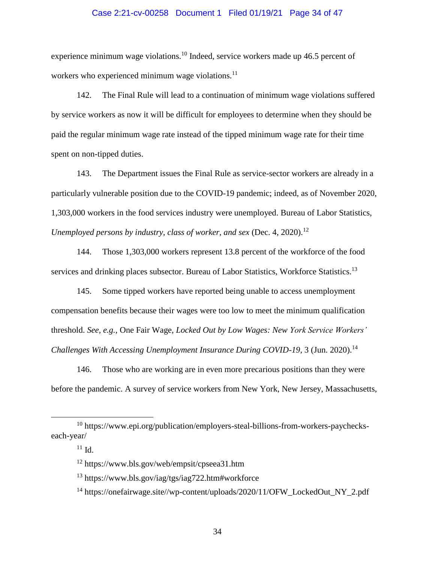## Case 2:21-cv-00258 Document 1 Filed 01/19/21 Page 34 of 47

experience minimum wage violations.<sup>10</sup> Indeed, service workers made up 46.5 percent of workers who experienced minimum wage violations. $^{11}$ 

142. The Final Rule will lead to a continuation of minimum wage violations suffered by service workers as now it will be difficult for employees to determine when they should be paid the regular minimum wage rate instead of the tipped minimum wage rate for their time spent on non-tipped duties.

143. The Department issues the Final Rule as service-sector workers are already in a particularly vulnerable position due to the COVID-19 pandemic; indeed, as of November 2020, 1,303,000 workers in the food services industry were unemployed. Bureau of Labor Statistics, *Unemployed persons by industry, class of worker, and sex (Dec. 4, 2020).*<sup>12</sup>

144. Those 1,303,000 workers represent 13.8 percent of the workforce of the food services and drinking places subsector. Bureau of Labor Statistics, Workforce Statistics.<sup>13</sup>

145. Some tipped workers have reported being unable to access unemployment compensation benefits because their wages were too low to meet the minimum qualification threshold. *See, e.g.,* One Fair Wage, *Locked Out by Low Wages: New York Service Workers' Challenges With Accessing Unemployment Insurance During COVID-19, 3 (Jun. 2020).*<sup>14</sup>

146. Those who are working are in even more precarious positions than they were before the pandemic. A survey of service workers from New York, New Jersey, Massachusetts,

<sup>10</sup> https://www.epi.org/publication/employers-steal-billions-from-workers-paycheckseach-year/

 $11$  Id.

<sup>12</sup> https://www.bls.gov/web/empsit/cpseea31.htm

<sup>13</sup> https://www.bls.gov/iag/tgs/iag722.htm#workforce

<sup>&</sup>lt;sup>14</sup> https://onefairwage.site//wp-content/uploads/2020/11/OFW\_LockedOut\_NY\_2.pdf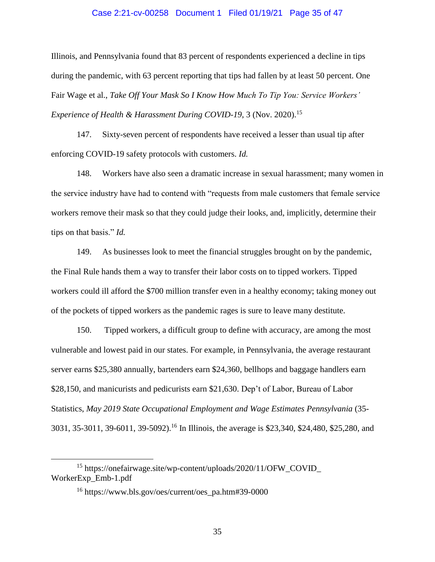#### Case 2:21-cv-00258 Document 1 Filed 01/19/21 Page 35 of 47

Illinois, and Pennsylvania found that 83 percent of respondents experienced a decline in tips during the pandemic, with 63 percent reporting that tips had fallen by at least 50 percent. One Fair Wage et al., *Take Off Your Mask So I Know How Much To Tip You: Service Workers' Experience of Health & Harassment During COVID-19, 3 (Nov. 2020).*<sup>15</sup>

147. Sixty-seven percent of respondents have received a lesser than usual tip after enforcing COVID-19 safety protocols with customers. *Id.*

148. Workers have also seen a dramatic increase in sexual harassment; many women in the service industry have had to contend with "requests from male customers that female service workers remove their mask so that they could judge their looks, and, implicitly, determine their tips on that basis." *Id.*

149. As businesses look to meet the financial struggles brought on by the pandemic, the Final Rule hands them a way to transfer their labor costs on to tipped workers. Tipped workers could ill afford the \$700 million transfer even in a healthy economy; taking money out of the pockets of tipped workers as the pandemic rages is sure to leave many destitute.

150. Tipped workers, a difficult group to define with accuracy, are among the most vulnerable and lowest paid in our states. For example, in Pennsylvania, the average restaurant server earns \$25,380 annually, bartenders earn \$24,360, bellhops and baggage handlers earn \$28,150, and manicurists and pedicurists earn \$21,630. Dep't of Labor, Bureau of Labor Statistics, *May 2019 State Occupational Employment and Wage Estimates Pennsylvania* (35- 3031, 35-3011, 39-6011, 39-5092). <sup>16</sup> In Illinois, the average is \$23,340, \$24,480, \$25,280, and

<sup>15</sup> https://onefairwage.site/wp-content/uploads/2020/11/OFW\_COVID\_ WorkerExp\_Emb-1.pdf

<sup>16</sup> https://www.bls.gov/oes/current/oes\_pa.htm#39-0000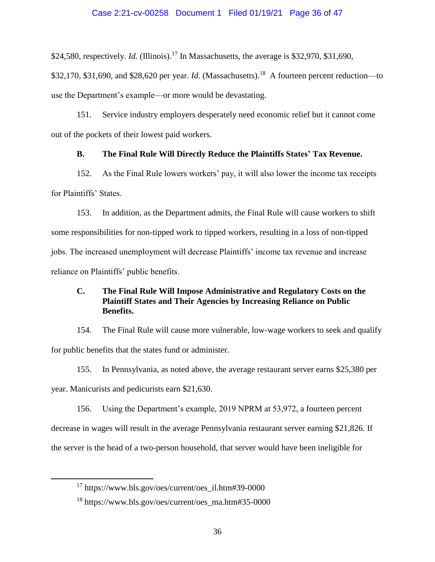\$24,580, respectively. *Id.* (Illinois).<sup>17</sup> In Massachusetts, the average is \$32,970, \$31,690,

\$32,170, \$31,690, and \$28,620 per year. *Id.* (Massachusetts).<sup>18</sup> A fourteen percent reduction—to use the Department's example—or more would be devastating.

151. Service industry employers desperately need economic relief but it cannot come out of the pockets of their lowest paid workers.

# **B. The Final Rule Will Directly Reduce the Plaintiffs States' Tax Revenue.**

152. As the Final Rule lowers workers' pay, it will also lower the income tax receipts for Plaintiffs' States.

153. In addition, as the Department admits, the Final Rule will cause workers to shift some responsibilities for non-tipped work to tipped workers, resulting in a loss of non-tipped jobs. The increased unemployment will decrease Plaintiffs' income tax revenue and increase reliance on Plaintiffs' public benefits.

# **C. The Final Rule Will Impose Administrative and Regulatory Costs on the Plaintiff States and Their Agencies by Increasing Reliance on Public Benefits.**

154. The Final Rule will cause more vulnerable, low-wage workers to seek and qualify for public benefits that the states fund or administer.

155. In Pennsylvania, as noted above, the average restaurant server earns \$25,380 per

year. Manicurists and pedicurists earn \$21,630.

 $\overline{a}$ 

156. Using the Department's example, 2019 NPRM at 53,972, a fourteen percent

decrease in wages will result in the average Pennsylvania restaurant server earning \$21,826. If

the server is the head of a two-person household, that server would have been ineligible for

<sup>17</sup> https://www.bls.gov/oes/current/oes\_il.htm#39-0000

<sup>18</sup> https://www.bls.gov/oes/current/oes\_ma.htm#35-0000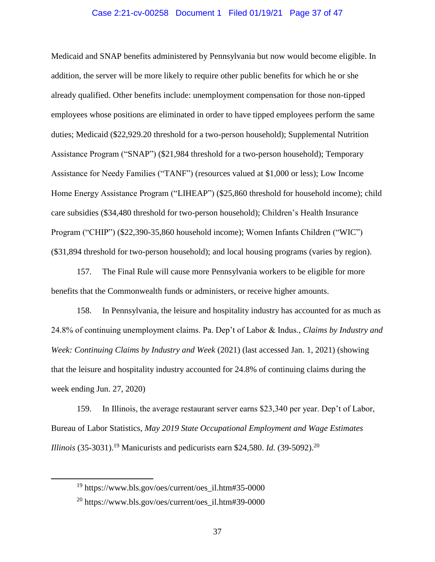### Case 2:21-cv-00258 Document 1 Filed 01/19/21 Page 37 of 47

Medicaid and SNAP benefits administered by Pennsylvania but now would become eligible. In addition, the server will be more likely to require other public benefits for which he or she already qualified. Other benefits include: unemployment compensation for those non-tipped employees whose positions are eliminated in order to have tipped employees perform the same duties; Medicaid (\$22,929.20 threshold for a two-person household); Supplemental Nutrition Assistance Program ("SNAP") (\$21,984 threshold for a two-person household); Temporary Assistance for Needy Families ("TANF") (resources valued at \$1,000 or less); Low Income Home Energy Assistance Program ("LIHEAP") (\$25,860 threshold for household income); child care subsidies (\$34,480 threshold for two-person household); Children's Health Insurance Program ("CHIP") (\$22,390-35,860 household income); Women Infants Children ("WIC") (\$31,894 threshold for two-person household); and local housing programs (varies by region).

157. The Final Rule will cause more Pennsylvania workers to be eligible for more benefits that the Commonwealth funds or administers, or receive higher amounts.

158. In Pennsylvania, the leisure and hospitality industry has accounted for as much as 24.8% of continuing unemployment claims. Pa. Dep't of Labor & Indus., *Claims by Industry and Week: Continuing Claims by Industry and Week* (2021) (last accessed Jan. 1, 2021) (showing that the leisure and hospitality industry accounted for 24.8% of continuing claims during the week ending Jun. 27, 2020)

159. In Illinois, the average restaurant server earns \$23,340 per year. Dep't of Labor, Bureau of Labor Statistics, *May 2019 State Occupational Employment and Wage Estimates Illinois* (35-3031).<sup>19</sup> Manicurists and pedicurists earn \$24,580. *Id.* (39-5092).<sup>20</sup>

<sup>19</sup> https://www.bls.gov/oes/current/oes\_il.htm#35-0000

 $^{20}$  https://www.bls.gov/oes/current/oes\_il.htm#39-0000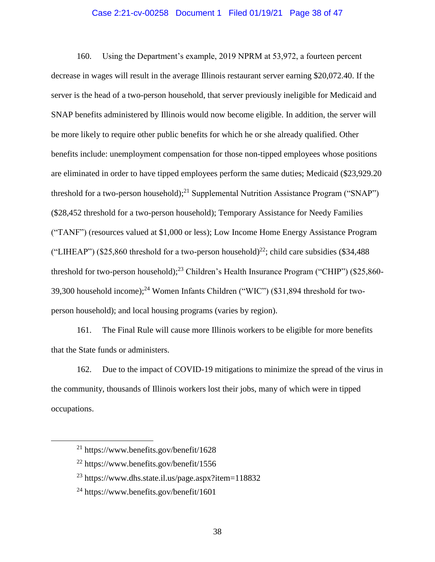# Case 2:21-cv-00258 Document 1 Filed 01/19/21 Page 38 of 47

160. Using the Department's example, 2019 NPRM at 53,972, a fourteen percent decrease in wages will result in the average Illinois restaurant server earning \$20,072.40. If the server is the head of a two-person household, that server previously ineligible for Medicaid and SNAP benefits administered by Illinois would now become eligible. In addition, the server will be more likely to require other public benefits for which he or she already qualified. Other benefits include: unemployment compensation for those non-tipped employees whose positions are eliminated in order to have tipped employees perform the same duties; Medicaid (\$23,929.20 threshold for a two-person household);<sup>21</sup> Supplemental Nutrition Assistance Program ("SNAP") (\$28,452 threshold for a two-person household); Temporary Assistance for Needy Families ("TANF") (resources valued at \$1,000 or less); Low Income Home Energy Assistance Program ("LIHEAP") (\$25,860 threshold for a two-person household)<sup>22</sup>; child care subsidies (\$34,488) threshold for two-person household);<sup>23</sup> Children's Health Insurance Program ("CHIP") (\$25,860-39,300 household income); <sup>24</sup> Women Infants Children ("WIC") (\$31,894 threshold for twoperson household); and local housing programs (varies by region).

161. The Final Rule will cause more Illinois workers to be eligible for more benefits that the State funds or administers.

162. Due to the impact of COVID-19 mitigations to minimize the spread of the virus in the community, thousands of Illinois workers lost their jobs, many of which were in tipped occupations.

<sup>21</sup> https://www.benefits.gov/benefit/1628

<sup>22</sup> https://www.benefits.gov/benefit/1556

<sup>23</sup> https://www.dhs.state.il.us/page.aspx?item=118832

<sup>24</sup> https://www.benefits.gov/benefit/1601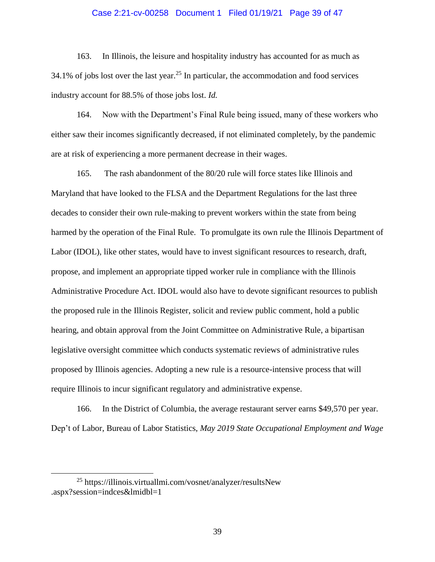## Case 2:21-cv-00258 Document 1 Filed 01/19/21 Page 39 of 47

163. In Illinois, the leisure and hospitality industry has accounted for as much as 34.1% of jobs lost over the last year.<sup>25</sup> In particular, the accommodation and food services industry account for 88.5% of those jobs lost. *Id.*

164. Now with the Department's Final Rule being issued, many of these workers who either saw their incomes significantly decreased, if not eliminated completely, by the pandemic are at risk of experiencing a more permanent decrease in their wages.

165. The rash abandonment of the 80/20 rule will force states like Illinois and Maryland that have looked to the FLSA and the Department Regulations for the last three decades to consider their own rule-making to prevent workers within the state from being harmed by the operation of the Final Rule. To promulgate its own rule the Illinois Department of Labor (IDOL), like other states, would have to invest significant resources to research, draft, propose, and implement an appropriate tipped worker rule in compliance with the Illinois Administrative Procedure Act. IDOL would also have to devote significant resources to publish the proposed rule in the Illinois Register, solicit and review public comment, hold a public hearing, and obtain approval from the Joint Committee on Administrative Rule, a bipartisan legislative oversight committee which conducts systematic reviews of administrative rules proposed by Illinois agencies. Adopting a new rule is a resource-intensive process that will require Illinois to incur significant regulatory and administrative expense.

166. In the District of Columbia, the average restaurant server earns \$49,570 per year. Dep't of Labor, Bureau of Labor Statistics, *May 2019 State Occupational Employment and Wage* 

<sup>25</sup> https://illinois.virtuallmi.com/vosnet/analyzer/resultsNew .aspx?session=indces&lmidbl=1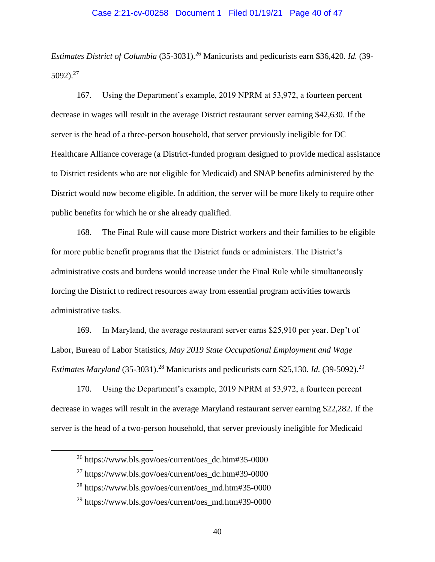# Case 2:21-cv-00258 Document 1 Filed 01/19/21 Page 40 of 47

*Estimates District of Columbia* (35-3031).<sup>26</sup> Manicurists and pedicurists earn \$36,420. *Id.* (39- $5092$ )<sup>27</sup>

167. Using the Department's example, 2019 NPRM at 53,972, a fourteen percent decrease in wages will result in the average District restaurant server earning \$42,630. If the server is the head of a three-person household, that server previously ineligible for DC Healthcare Alliance coverage (a District-funded program designed to provide medical assistance to District residents who are not eligible for Medicaid) and SNAP benefits administered by the District would now become eligible. In addition, the server will be more likely to require other public benefits for which he or she already qualified.

168. The Final Rule will cause more District workers and their families to be eligible for more public benefit programs that the District funds or administers. The District's administrative costs and burdens would increase under the Final Rule while simultaneously forcing the District to redirect resources away from essential program activities towards administrative tasks.

169. In Maryland, the average restaurant server earns \$25,910 per year. Dep't of Labor, Bureau of Labor Statistics, *May 2019 State Occupational Employment and Wage Estimates Maryland* (35-3031).<sup>28</sup> Manicurists and pedicurists earn \$25,130. *Id.* (39-5092).<sup>29</sup>

170. Using the Department's example, 2019 NPRM at 53,972, a fourteen percent decrease in wages will result in the average Maryland restaurant server earning \$22,282. If the server is the head of a two-person household, that server previously ineligible for Medicaid

 $^{26}$  https://www.bls.gov/oes/current/oes\_dc.htm#35-0000

 $^{27}$  https://www.bls.gov/oes/current/oes\_dc.htm#39-0000

<sup>28</sup> https://www.bls.gov/oes/current/oes\_md.htm#35-0000

<sup>&</sup>lt;sup>29</sup> https://www.bls.gov/oes/current/oes\_md.htm#39-0000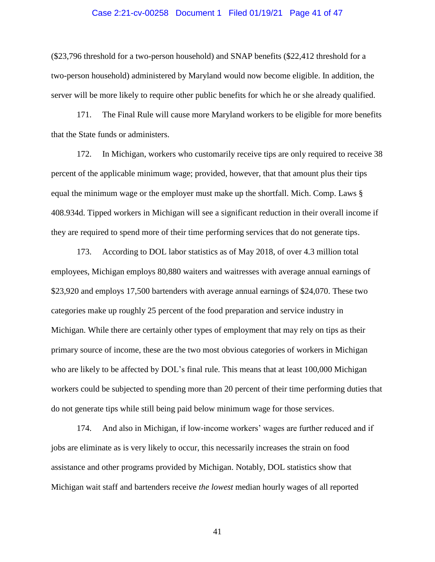#### Case 2:21-cv-00258 Document 1 Filed 01/19/21 Page 41 of 47

(\$23,796 threshold for a two-person household) and SNAP benefits (\$22,412 threshold for a two-person household) administered by Maryland would now become eligible. In addition, the server will be more likely to require other public benefits for which he or she already qualified.

171. The Final Rule will cause more Maryland workers to be eligible for more benefits that the State funds or administers.

172. In Michigan, workers who customarily receive tips are only required to receive 38 percent of the applicable minimum wage; provided, however, that that amount plus their tips equal the minimum wage or the employer must make up the shortfall. Mich. Comp. Laws § 408.934d. Tipped workers in Michigan will see a significant reduction in their overall income if they are required to spend more of their time performing services that do not generate tips.

173. According to DOL labor statistics as of May 2018, of over 4.3 million total employees, Michigan employs 80,880 waiters and waitresses with average annual earnings of \$23,920 and employs 17,500 bartenders with average annual earnings of \$24,070. These two categories make up roughly 25 percent of the food preparation and service industry in Michigan. While there are certainly other types of employment that may rely on tips as their primary source of income, these are the two most obvious categories of workers in Michigan who are likely to be affected by DOL's final rule. This means that at least 100,000 Michigan workers could be subjected to spending more than 20 percent of their time performing duties that do not generate tips while still being paid below minimum wage for those services.

174. And also in Michigan, if low-income workers' wages are further reduced and if jobs are eliminate as is very likely to occur, this necessarily increases the strain on food assistance and other programs provided by Michigan. Notably, DOL statistics show that Michigan wait staff and bartenders receive *the lowest* median hourly wages of all reported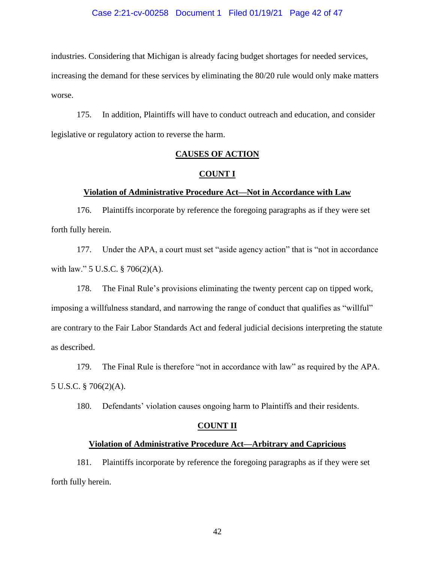#### Case 2:21-cv-00258 Document 1 Filed 01/19/21 Page 42 of 47

industries. Considering that Michigan is already facing budget shortages for needed services, increasing the demand for these services by eliminating the 80/20 rule would only make matters worse.

175. In addition, Plaintiffs will have to conduct outreach and education, and consider legislative or regulatory action to reverse the harm.

## **CAUSES OF ACTION**

#### **COUNT I**

## **Violation of Administrative Procedure Act—Not in Accordance with Law**

176. Plaintiffs incorporate by reference the foregoing paragraphs as if they were set forth fully herein.

177. Under the APA, a court must set "aside agency action" that is "not in accordance with law." 5 U.S.C. § 706(2)(A).

178. The Final Rule's provisions eliminating the twenty percent cap on tipped work, imposing a willfulness standard, and narrowing the range of conduct that qualifies as "willful" are contrary to the Fair Labor Standards Act and federal judicial decisions interpreting the statute as described.

179. The Final Rule is therefore "not in accordance with law" as required by the APA. 5 U.S.C. § 706(2)(A).

180. Defendants' violation causes ongoing harm to Plaintiffs and their residents.

## **COUNT II**

## **Violation of Administrative Procedure Act—Arbitrary and Capricious**

181. Plaintiffs incorporate by reference the foregoing paragraphs as if they were set forth fully herein.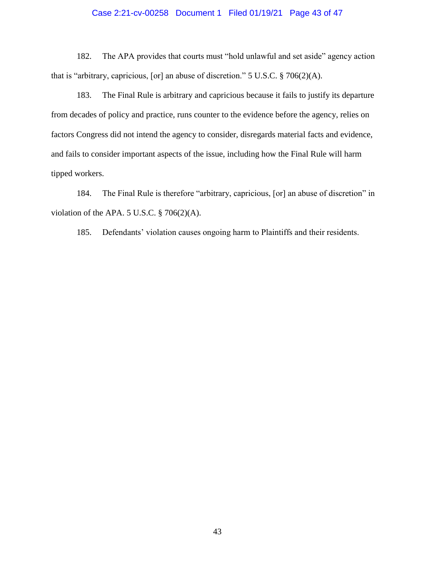# Case 2:21-cv-00258 Document 1 Filed 01/19/21 Page 43 of 47

182. The APA provides that courts must "hold unlawful and set aside" agency action that is "arbitrary, capricious, [or] an abuse of discretion." 5 U.S.C. § 706(2)(A).

183. The Final Rule is arbitrary and capricious because it fails to justify its departure from decades of policy and practice, runs counter to the evidence before the agency, relies on factors Congress did not intend the agency to consider, disregards material facts and evidence, and fails to consider important aspects of the issue, including how the Final Rule will harm tipped workers.

184. The Final Rule is therefore "arbitrary, capricious, [or] an abuse of discretion" in violation of the APA. 5 U.S.C.  $\S$  706(2)(A).

185. Defendants' violation causes ongoing harm to Plaintiffs and their residents.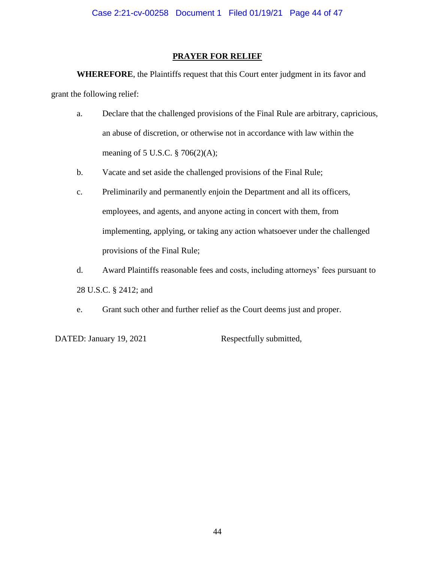# **PRAYER FOR RELIEF**

**WHEREFORE**, the Plaintiffs request that this Court enter judgment in its favor and grant the following relief:

- a. Declare that the challenged provisions of the Final Rule are arbitrary, capricious, an abuse of discretion, or otherwise not in accordance with law within the meaning of 5 U.S.C. § 706(2)(A);
- b. Vacate and set aside the challenged provisions of the Final Rule;
- c. Preliminarily and permanently enjoin the Department and all its officers, employees, and agents, and anyone acting in concert with them, from implementing, applying, or taking any action whatsoever under the challenged provisions of the Final Rule;
- d. Award Plaintiffs reasonable fees and costs, including attorneys' fees pursuant to 28 U.S.C. § 2412; and
- e. Grant such other and further relief as the Court deems just and proper.

DATED: January 19, 2021 Respectfully submitted,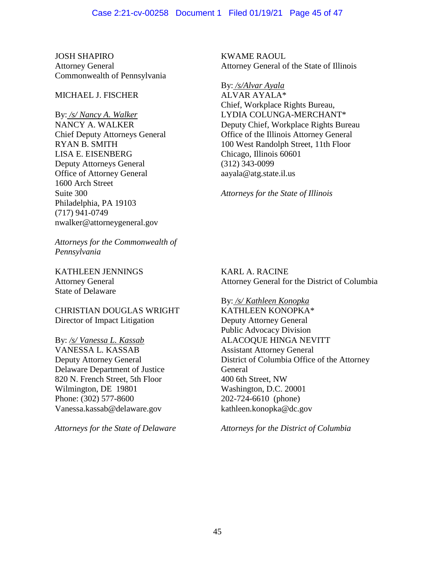JOSH SHAPIRO Attorney General Commonwealth of Pennsylvania

# MICHAEL J. FISCHER

By: */s/ Nancy A. Walker* NANCY A. WALKER Chief Deputy Attorneys General RYAN B. SMITH LISA E. EISENBERG Deputy Attorneys General Office of Attorney General 1600 Arch Street Suite 300 Philadelphia, PA 19103 (717) 941-0749 nwalker@attorneygeneral.gov

*Attorneys for the Commonwealth of Pennsylvania* 

KATHLEEN JENNINGS Attorney General State of Delaware

CHRISTIAN DOUGLAS WRIGHT Director of Impact Litigation

By: */s/ Vanessa L. Kassab* VANESSA L. KASSAB Deputy Attorney General Delaware Department of Justice 820 N. French Street, 5th Floor Wilmington, DE 19801 Phone: (302) 577-8600 Vanessa.kassab@delaware.gov

*Attorneys for the State of Delaware*

KWAME RAOUL Attorney General of the State of Illinois

By: */s/Alvar Ayala* ALVAR AYALA\* Chief, Workplace Rights Bureau, LYDIA COLUNGA-MERCHANT\* Deputy Chief, Workplace Rights Bureau Office of the Illinois Attorney General 100 West Randolph Street, 11th Floor Chicago, Illinois 60601 (312) 343-0099 aayala@atg.state.il.us

*Attorneys for the State of Illinois*

KARL A. RACINE Attorney General for the District of Columbia

By: */s/ Kathleen Konopka* KATHLEEN KONOPKA\* Deputy Attorney General Public Advocacy Division ALACOQUE HINGA NEVITT Assistant Attorney General District of Columbia Office of the Attorney General 400 6th Street, NW Washington, D.C. 20001 202-724-6610 (phone) kathleen.konopka@dc.gov

*Attorneys for the District of Columbia*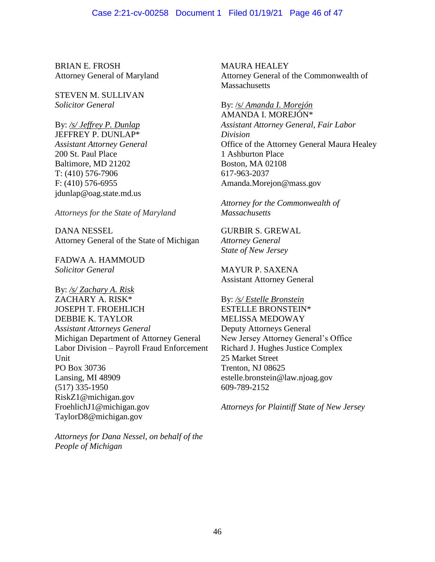## Case 2:21-cv-00258 Document 1 Filed 01/19/21 Page 46 of 47

BRIAN E. FROSH Attorney General of Maryland

STEVEN M. SULLIVAN *Solicitor General*

By: */s/ Jeffrey P. Dunlap* JEFFREY P. DUNLAP\* *Assistant Attorney General* 200 St. Paul Place Baltimore, MD 21202 T: (410) 576-7906 F: (410) 576-6955 jdunlap@oag.state.md.us

*Attorneys for the State of Maryland*

DANA NESSEL Attorney General of the State of Michigan

FADWA A. HAMMOUD *Solicitor General*

By: */s/ Zachary A. Risk* ZACHARY A. RISK\* JOSEPH T. FROEHLICH DEBBIE K. TAYLOR *Assistant Attorneys General* Michigan Department of Attorney General Labor Division – Payroll Fraud Enforcement **Unit** PO Box 30736 Lansing, MI 48909 (517) 335-1950 RiskZ1@michigan.gov FroehlichJ1@michigan.gov TaylorD8@michigan.gov

*Attorneys for Dana Nessel, on behalf of the People of Michigan*

MAURA HEALEY Attorney General of the Commonwealth of **Massachusetts** 

By: /s/ *Amanda I. Morejón* AMANDA I. MOREJÓN\* *Assistant Attorney General, Fair Labor Division* Office of the Attorney General Maura Healey 1 Ashburton Place Boston, MA 02108 617-963-2037 Amanda.Morejon@mass.gov

*Attorney for the Commonwealth of Massachusetts*

GURBIR S. GREWAL *Attorney General State of New Jersey*

MAYUR P. SAXENA Assistant Attorney General

By: */s/ Estelle Bronstein* ESTELLE BRONSTEIN\* MELISSA MEDOWAY Deputy Attorneys General New Jersey Attorney General's Office Richard J. Hughes Justice Complex 25 Market Street Trenton, NJ 08625 estelle.bronstein@law.njoag.gov 609-789-2152

*Attorneys for Plaintiff State of New Jersey*